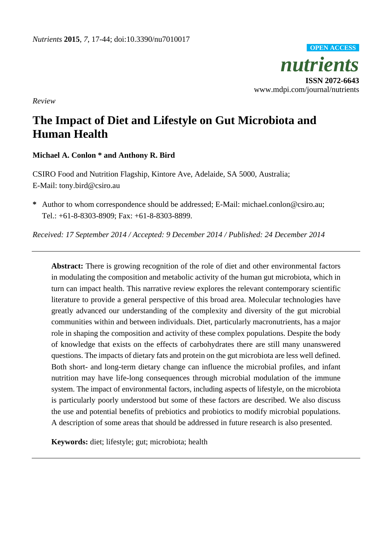

*Review*

# **The Impact of Diet and Lifestyle on Gut Microbiota and Human Health**

# **Michael A. Conlon \* and Anthony R. Bird**

CSIRO Food and Nutrition Flagship, Kintore Ave, Adelaide, SA 5000, Australia; E-Mail: tony.bird@csiro.au

**\*** Author to whom correspondence should be addressed; E-Mail: michael.conlon@csiro.au; Tel.: +61-8-8303-8909; Fax: +61-8-8303-8899.

*Received: 17 September 2014 / Accepted: 9 December 2014 / Published: 24 December 2014*

**Abstract:** There is growing recognition of the role of diet and other environmental factors in modulating the composition and metabolic activity of the human gut microbiota, which in turn can impact health. This narrative review explores the relevant contemporary scientific literature to provide a general perspective of this broad area. Molecular technologies have greatly advanced our understanding of the complexity and diversity of the gut microbial communities within and between individuals. Diet, particularly macronutrients, has a major role in shaping the composition and activity of these complex populations. Despite the body of knowledge that exists on the effects of carbohydrates there are still many unanswered questions. The impacts of dietary fats and protein on the gut microbiota are less well defined. Both short- and long-term dietary change can influence the microbial profiles, and infant nutrition may have life-long consequences through microbial modulation of the immune system. The impact of environmental factors, including aspects of lifestyle, on the microbiota is particularly poorly understood but some of these factors are described. We also discuss the use and potential benefits of prebiotics and probiotics to modify microbial populations. A description of some areas that should be addressed in future research is also presented.

**Keywords:** diet; lifestyle; gut; microbiota; health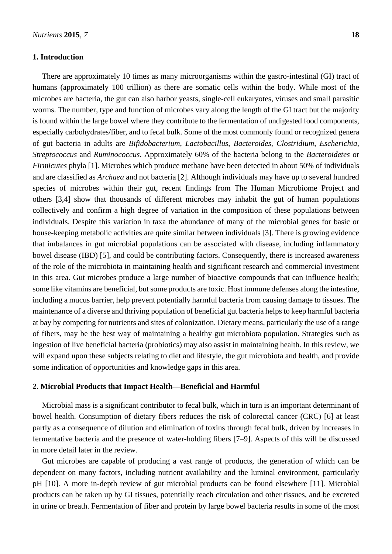#### **1. Introduction**

There are approximately 10 times as many microorganisms within the gastro-intestinal (GI) tract of humans (approximately 100 trillion) as there are somatic cells within the body. While most of the microbes are bacteria, the gut can also harbor yeasts, single-cell eukaryotes, viruses and small parasitic worms. The number, type and function of microbes vary along the length of the GI tract but the majority is found within the large bowel where they contribute to the fermentation of undigested food components, especially carbohydrates/fiber, and to fecal bulk. Some of the most commonly found or recognized genera of gut bacteria in adults are *Bifidobacterium*, *Lactobacillus*, *Bacteroides*, *Clostridium*, *Escherichia*, *Streptococcus* and *Ruminococcus*. Approximately 60% of the bacteria belong to the *Bacteroidetes* or *Firmicutes* phyla [1]. Microbes which produce methane have been detected in about 50% of individuals and are classified as *Archaea* and not bacteria [2]. Although individuals may have up to several hundred species of microbes within their gut, recent findings from The Human Microbiome Project and others [3,4] show that thousands of different microbes may inhabit the gut of human populations collectively and confirm a high degree of variation in the composition of these populations between individuals. Despite this variation in taxa the abundance of many of the microbial genes for basic or house-keeping metabolic activities are quite similar between individuals [3]. There is growing evidence that imbalances in gut microbial populations can be associated with disease, including inflammatory bowel disease (IBD) [5], and could be contributing factors. Consequently, there is increased awareness of the role of the microbiota in maintaining health and significant research and commercial investment in this area. Gut microbes produce a large number of bioactive compounds that can influence health; some like vitamins are beneficial, but some products are toxic. Host immune defenses along the intestine, including a mucus barrier, help prevent potentially harmful bacteria from causing damage to tissues. The maintenance of a diverse and thriving population of beneficial gut bacteria helps to keep harmful bacteria at bay by competing for nutrients and sites of colonization. Dietary means, particularly the use of a range of fibers, may be the best way of maintaining a healthy gut microbiota population. Strategies such as ingestion of live beneficial bacteria (probiotics) may also assist in maintaining health. In this review, we will expand upon these subjects relating to diet and lifestyle, the gut microbiota and health, and provide some indication of opportunities and knowledge gaps in this area.

#### **2. Microbial Products that Impact Health—Beneficial and Harmful**

Microbial mass is a significant contributor to fecal bulk, which in turn is an important determinant of bowel health. Consumption of dietary fibers reduces the risk of colorectal cancer (CRC) [6] at least partly as a consequence of dilution and elimination of toxins through fecal bulk, driven by increases in fermentative bacteria and the presence of water-holding fibers [7–9]. Aspects of this will be discussed in more detail later in the review.

Gut microbes are capable of producing a vast range of products, the generation of which can be dependent on many factors, including nutrient availability and the luminal environment, particularly pH [10]. A more in-depth review of gut microbial products can be found elsewhere [11]. Microbial products can be taken up by GI tissues, potentially reach circulation and other tissues, and be excreted in urine or breath. Fermentation of fiber and protein by large bowel bacteria results in some of the most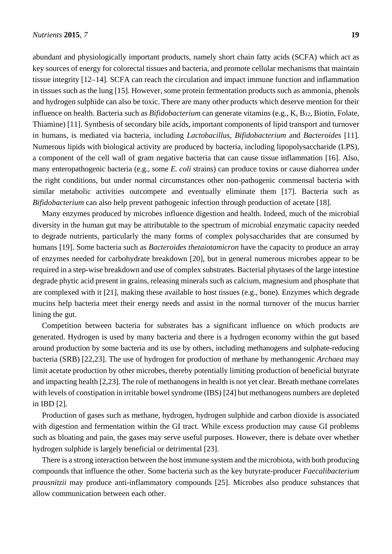abundant and physiologically important products, namely short chain fatty acids (SCFA) which act as key sources of energy for colorectal tissues and bacteria, and promote cellular mechanisms that maintain tissue integrity [12–14]. SCFA can reach the circulation and impact immune function and inflammation in tissues such as the lung [15]. However, some protein fermentation products such as ammonia, phenols and hydrogen sulphide can also be toxic. There are many other products which deserve mention for their influence on health. Bacteria such as *Bifidobacterium* can generate vitamins (e.g., K, B12, Biotin, Folate, Thiamine) [11]. Synthesis of secondary bile acids, important components of lipid transport and turnover in humans, is mediated via bacteria, including *Lactobacillus*, *Bifidobacterium* and *Bacteroides* [11]. Numerous lipids with biological activity are produced by bacteria, including lipopolysaccharide (LPS), a component of the cell wall of gram negative bacteria that can cause tissue inflammation [16]. Also, many enteropathogenic bacteria (e.g., some *E. coli* strains) can produce toxins or cause diahorrea under the right conditions, but under normal circumstances other non-pathogenic commensal bacteria with similar metabolic activities outcompete and eventually eliminate them [17]. Bacteria such as *Bifidobacterium* can also help prevent pathogenic infection through production of acetate [18].

Many enzymes produced by microbes influence digestion and health. Indeed, much of the microbial diversity in the human gut may be attributable to the spectrum of microbial enzymatic capacity needed to degrade nutrients, particularly the many forms of complex polysaccharides that are consumed by humans [19]. Some bacteria such as *Bacteroides thetaiotamicron* have the capacity to produce an array of enzymes needed for carbohydrate breakdown [20], but in general numerous microbes appear to be required in a step-wise breakdown and use of complex substrates. Bacterial phytases of the large intestine degrade phytic acid present in grains, releasing minerals such as calcium, magnesium and phosphate that are complexed with it [21], making these available to host tissues (e.g., bone). Enzymes which degrade mucins help bacteria meet their energy needs and assist in the normal turnover of the mucus barrier lining the gut.

Competition between bacteria for substrates has a significant influence on which products are generated. Hydrogen is used by many bacteria and there is a hydrogen economy within the gut based around production by some bacteria and its use by others, including methanogens and sulphate-reducing bacteria (SRB) [22,23]. The use of hydrogen for production of methane by methanogenic *Archaea* may limit acetate production by other microbes, thereby potentially limiting production of beneficial butyrate and impacting health [2,23]. The role of methanogens in health is not yet clear. Breath methane correlates with levels of constipation in irritable bowel syndrome (IBS) [24] but methanogens numbers are depleted in IBD [2].

Production of gases such as methane, hydrogen, hydrogen sulphide and carbon dioxide is associated with digestion and fermentation within the GI tract. While excess production may cause GI problems such as bloating and pain, the gases may serve useful purposes. However, there is debate over whether hydrogen sulphide is largely beneficial or detrimental [23].

There is a strong interaction between the host immune system and the microbiota, with both producing compounds that influence the other. Some bacteria such as the key butyrate-producer *Faecalibacterium prausnitzii* may produce anti-inflammatory compounds [25]. Microbes also produce substances that allow communication between each other.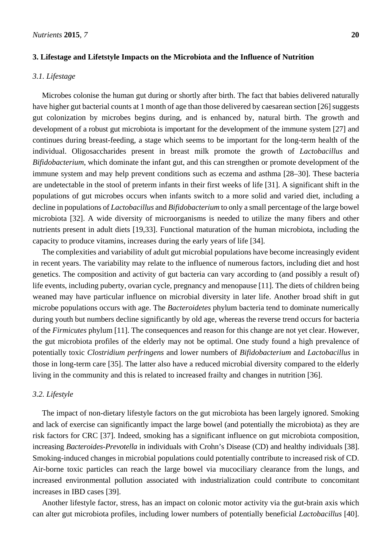#### **3. Lifestage and Lifetstyle Impacts on the Microbiota and the Influence of Nutrition**

#### *3.1. Lifestage*

Microbes colonise the human gut during or shortly after birth. The fact that babies delivered naturally have higher gut bacterial counts at 1 month of age than those delivered by caesarean section [26] suggests gut colonization by microbes begins during, and is enhanced by, natural birth. The growth and development of a robust gut microbiota is important for the development of the immune system [27] and continues during breast-feeding, a stage which seems to be important for the long-term health of the individual. Oligosaccharides present in breast milk promote the growth of *Lactobacillus* and *Bifidobacterium*, which dominate the infant gut, and this can strengthen or promote development of the immune system and may help prevent conditions such as eczema and asthma [28–30]. These bacteria are undetectable in the stool of preterm infants in their first weeks of life [31]. A significant shift in the populations of gut microbes occurs when infants switch to a more solid and varied diet, including a decline in populations of *Lactobacillus* and *Bifidobacterium* to only a small percentage of the large bowel microbiota [32]. A wide diversity of microorganisms is needed to utilize the many fibers and other nutrients present in adult diets [19,33]. Functional maturation of the human microbiota, including the capacity to produce vitamins, increases during the early years of life [34].

The complexities and variability of adult gut microbial populations have become increasingly evident in recent years. The variability may relate to the influence of numerous factors, including diet and host genetics. The composition and activity of gut bacteria can vary according to (and possibly a result of) life events, including puberty, ovarian cycle, pregnancy and menopause [11]. The diets of children being weaned may have particular influence on microbial diversity in later life. Another broad shift in gut microbe populations occurs with age. The *Bacteroidetes* phylum bacteria tend to dominate numerically during youth but numbers decline significantly by old age, whereas the reverse trend occurs for bacteria of the *Firmicutes* phylum [11]. The consequences and reason for this change are not yet clear. However, the gut microbiota profiles of the elderly may not be optimal. One study found a high prevalence of potentially toxic *Clostridium perfringens* and lower numbers of *Bifidobacterium* and *Lactobacillus* in those in long-term care [35]. The latter also have a reduced microbial diversity compared to the elderly living in the community and this is related to increased frailty and changes in nutrition [36].

#### *3.2. Lifestyle*

The impact of non-dietary lifestyle factors on the gut microbiota has been largely ignored. Smoking and lack of exercise can significantly impact the large bowel (and potentially the microbiota) as they are risk factors for CRC [37]. Indeed, smoking has a significant influence on gut microbiota composition, increasing *Bacteroides-Prevotella* in individuals with Crohn's Disease (CD) and healthy individuals [38]. Smoking-induced changes in microbial populations could potentially contribute to increased risk of CD. Air-borne toxic particles can reach the large bowel via mucociliary clearance from the lungs, and increased environmental pollution associated with industrialization could contribute to concomitant increases in IBD cases [39].

Another lifestyle factor, stress, has an impact on colonic motor activity via the gut-brain axis which can alter gut microbiota profiles, including lower numbers of potentially beneficial *Lactobacillus* [40].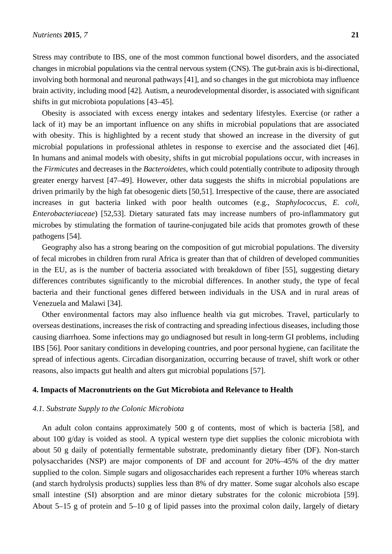Stress may contribute to IBS, one of the most common functional bowel disorders, and the associated changes in microbial populations via the central nervous system (CNS). The gut-brain axis is bi-directional, involving both hormonal and neuronal pathways [41], and so changes in the gut microbiota may influence brain activity, including mood [42]. Autism, a neurodevelopmental disorder, is associated with significant shifts in gut microbiota populations [43–45].

Obesity is associated with excess energy intakes and sedentary lifestyles. Exercise (or rather a lack of it) may be an important influence on any shifts in microbial populations that are associated with obesity. This is highlighted by a recent study that showed an increase in the diversity of gut microbial populations in professional athletes in response to exercise and the associated diet [46]. In humans and animal models with obesity, shifts in gut microbial populations occur, with increases in the *Firmicutes* and decreases in the *Bacteroidetes*, which could potentially contribute to adiposity through greater energy harvest [47–49]. However, other data suggests the shifts in microbial populations are driven primarily by the high fat obesogenic diets [50,51]. Irrespective of the cause, there are associated increases in gut bacteria linked with poor health outcomes (e.g., *Staphylococcus*, *E. coli*, *Enterobacteriaceae*) [52,53]. Dietary saturated fats may increase numbers of pro-inflammatory gut microbes by stimulating the formation of taurine-conjugated bile acids that promotes growth of these pathogens [54].

Geography also has a strong bearing on the composition of gut microbial populations. The diversity of fecal microbes in children from rural Africa is greater than that of children of developed communities in the EU, as is the number of bacteria associated with breakdown of fiber [55], suggesting dietary differences contributes significantly to the microbial differences. In another study, the type of fecal bacteria and their functional genes differed between individuals in the USA and in rural areas of Venezuela and Malawi [34].

Other environmental factors may also influence health via gut microbes. Travel, particularly to overseas destinations, increases the risk of contracting and spreading infectious diseases, including those causing diarrhoea. Some infections may go undiagnosed but result in long-term GI problems, including IBS [56]. Poor sanitary conditions in developing countries, and poor personal hygiene, can facilitate the spread of infectious agents. Circadian disorganization, occurring because of travel, shift work or other reasons, also impacts gut health and alters gut microbial populations [57].

# **4. Impacts of Macronutrients on the Gut Microbiota and Relevance to Health**

#### *4.1. Substrate Supply to the Colonic Microbiota*

An adult colon contains approximately 500 g of contents, most of which is bacteria [58], and about 100 g/day is voided as stool. A typical western type diet supplies the colonic microbiota with about 50 g daily of potentially fermentable substrate, predominantly dietary fiber (DF). Non-starch polysaccharides (NSP) are major components of DF and account for 20%–45% of the dry matter supplied to the colon. Simple sugars and oligosaccharides each represent a further 10% whereas starch (and starch hydrolysis products) supplies less than 8% of dry matter. Some sugar alcohols also escape small intestine (SI) absorption and are minor dietary substrates for the colonic microbiota [59]. About 5–15 g of protein and 5–10 g of lipid passes into the proximal colon daily, largely of dietary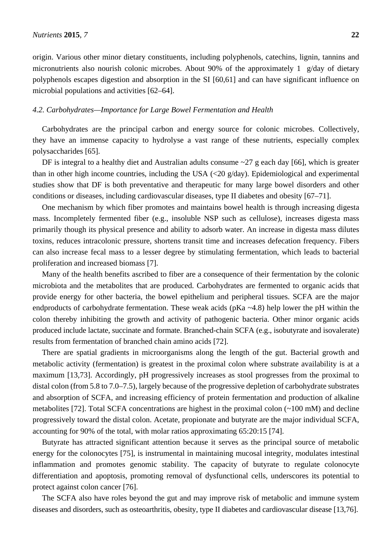origin. Various other minor dietary constituents, including polyphenols, catechins, lignin, tannins and micronutrients also nourish colonic microbes. About 90% of the approximately 1 g/day of dietary polyphenols escapes digestion and absorption in the SI [60,61] and can have significant influence on microbial populations and activities [62–64].

#### *4.2. Carbohydrates—Importance for Large Bowel Fermentation and Health*

Carbohydrates are the principal carbon and energy source for colonic microbes. Collectively, they have an immense capacity to hydrolyse a vast range of these nutrients, especially complex polysaccharides [65].

DF is integral to a healthy diet and Australian adults consume  $\sim$ 27 g each day [66], which is greater than in other high income countries, including the USA (<20 g/day). Epidemiological and experimental studies show that DF is both preventative and therapeutic for many large bowel disorders and other conditions or diseases, including cardiovascular diseases, type II diabetes and obesity [67–71].

One mechanism by which fiber promotes and maintains bowel health is through increasing digesta mass. Incompletely fermented fiber (e.g., insoluble NSP such as cellulose), increases digesta mass primarily though its physical presence and ability to adsorb water. An increase in digesta mass dilutes toxins, reduces intracolonic pressure, shortens transit time and increases defecation frequency. Fibers can also increase fecal mass to a lesser degree by stimulating fermentation, which leads to bacterial proliferation and increased biomass [7].

Many of the health benefits ascribed to fiber are a consequence of their fermentation by the colonic microbiota and the metabolites that are produced. Carbohydrates are fermented to organic acids that provide energy for other bacteria, the bowel epithelium and peripheral tissues. SCFA are the major endproducts of carbohydrate fermentation. These weak acids ( $pKa \sim 4.8$ ) help lower the pH within the colon thereby inhibiting the growth and activity of pathogenic bacteria. Other minor organic acids produced include lactate, succinate and formate. Branched-chain SCFA (e.g., isobutyrate and isovalerate) results from fermentation of branched chain amino acids [72].

There are spatial gradients in microorganisms along the length of the gut. Bacterial growth and metabolic activity (fermentation) is greatest in the proximal colon where substrate availability is at a maximum [13,73]. Accordingly, pH progressively increases as stool progresses from the proximal to distal colon (from 5.8 to 7.0–7.5), largely because of the progressive depletion of carbohydrate substrates and absorption of SCFA, and increasing efficiency of protein fermentation and production of alkaline metabolites [72]. Total SCFA concentrations are highest in the proximal colon (~100 mM) and decline progressively toward the distal colon. Acetate, propionate and butyrate are the major individual SCFA, accounting for 90% of the total, with molar ratios approximating 65:20:15 [74].

Butyrate has attracted significant attention because it serves as the principal source of metabolic energy for the colonocytes [75], is instrumental in maintaining mucosal integrity, modulates intestinal inflammation and promotes genomic stability. The capacity of butyrate to regulate colonocyte differentiation and apoptosis, promoting removal of dysfunctional cells, underscores its potential to protect against colon cancer [76].

The SCFA also have roles beyond the gut and may improve risk of metabolic and immune system diseases and disorders, such as osteoarthritis, obesity, type II diabetes and cardiovascular disease [13,76].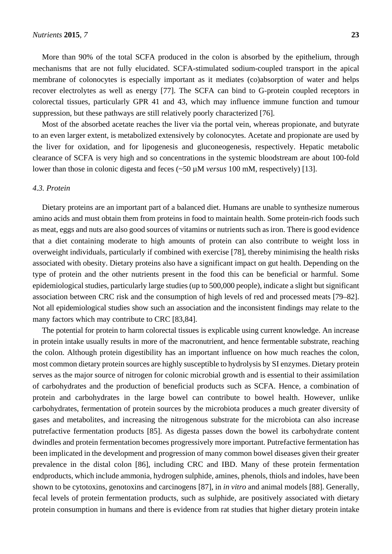More than 90% of the total SCFA produced in the colon is absorbed by the epithelium, through mechanisms that are not fully elucidated. SCFA-stimulated sodium-coupled transport in the apical membrane of colonocytes is especially important as it mediates (co)absorption of water and helps recover electrolytes as well as energy [77]. The SCFA can bind to G-protein coupled receptors in colorectal tissues, particularly GPR 41 and 43, which may influence immune function and tumour suppression, but these pathways are still relatively poorly characterized [76].

Most of the absorbed acetate reaches the liver via the portal vein, whereas propionate, and butyrate to an even larger extent, is metabolized extensively by colonocytes. Acetate and propionate are used by the liver for oxidation, and for lipogenesis and gluconeogenesis, respectively. Hepatic metabolic clearance of SCFA is very high and so concentrations in the systemic bloodstream are about 100-fold lower than those in colonic digesta and feces (~50 µM *versus* 100 mM, respectively) [13].

#### *4.3. Protein*

Dietary proteins are an important part of a balanced diet. Humans are unable to synthesize numerous amino acids and must obtain them from proteins in food to maintain health. Some protein-rich foods such as meat, eggs and nuts are also good sources of vitamins or nutrients such as iron. There is good evidence that a diet containing moderate to high amounts of protein can also contribute to weight loss in overweight individuals, particularly if combined with exercise [78], thereby minimising the health risks associated with obesity. Dietary proteins also have a significant impact on gut health. Depending on the type of protein and the other nutrients present in the food this can be beneficial or harmful. Some epidemiological studies, particularly large studies (up to 500,000 people), indicate a slight but significant association between CRC risk and the consumption of high levels of red and processed meats [79–82]. Not all epidemiological studies show such an association and the inconsistent findings may relate to the many factors which may contribute to CRC [83,84].

The potential for protein to harm colorectal tissues is explicable using current knowledge. An increase in protein intake usually results in more of the macronutrient, and hence fermentable substrate, reaching the colon. Although protein digestibility has an important influence on how much reaches the colon, most common dietary protein sources are highly susceptible to hydrolysis by SI enzymes. Dietary protein serves as the major source of nitrogen for colonic microbial growth and is essential to their assimilation of carbohydrates and the production of beneficial products such as SCFA. Hence, a combination of protein and carbohydrates in the large bowel can contribute to bowel health. However, unlike carbohydrates, fermentation of protein sources by the microbiota produces a much greater diversity of gases and metabolites, and increasing the nitrogenous substrate for the microbiota can also increase putrefactive fermentation products [85]. As digesta passes down the bowel its carbohydrate content dwindles and protein fermentation becomes progressively more important. Putrefactive fermentation has been implicated in the development and progression of many common bowel diseases given their greater prevalence in the distal colon [86], including CRC and IBD. Many of these protein fermentation endproducts, which include ammonia, hydrogen sulphide, amines, phenols, thiols and indoles, have been shown to be cytotoxins, genotoxins and carcinogens [87], in *in vitro* and animal models [88]. Generally, fecal levels of protein fermentation products, such as sulphide, are positively associated with dietary protein consumption in humans and there is evidence from rat studies that higher dietary protein intake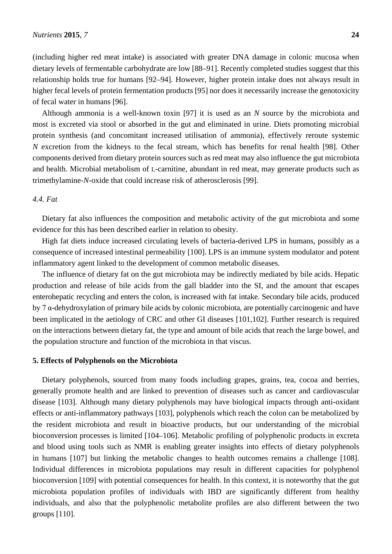(including higher red meat intake) is associated with greater DNA damage in colonic mucosa when dietary levels of fermentable carbohydrate are low [88–91]. Recently completed studies suggest that this relationship holds true for humans [92–94]. However, higher protein intake does not always result in higher fecal levels of protein fermentation products [95] nor does it necessarily increase the genotoxicity of fecal water in humans [96].

Although ammonia is a well-known toxin [97] it is used as an *N* source by the microbiota and most is excreted via stool or absorbed in the gut and eliminated in urine. Diets promoting microbial protein synthesis (and concomitant increased utilisation of ammonia), effectively reroute systemic *N* excretion from the kidneys to the fecal stream, which has benefits for renal health [98]. Other components derived from dietary protein sources such as red meat may also influence the gut microbiota and health. Microbial metabolism of L-carnitine, abundant in red meat, may generate products such as trimethylamine-*N*-oxide that could increase risk of atherosclerosis [99].

# *4.4. Fat*

Dietary fat also influences the composition and metabolic activity of the gut microbiota and some evidence for this has been described earlier in relation to obesity.

High fat diets induce increased circulating levels of bacteria-derived LPS in humans, possibly as a consequence of increased intestinal permeability [100]. LPS is an immune system modulator and potent inflammatory agent linked to the development of common metabolic diseases.

The influence of dietary fat on the gut microbiota may be indirectly mediated by bile acids. Hepatic production and release of bile acids from the gall bladder into the SI, and the amount that escapes enterohepatic recycling and enters the colon, is increased with fat intake. Secondary bile acids, produced by 7 α-dehydroxylation of primary bile acids by colonic microbiota, are potentially carcinogenic and have been implicated in the aetiology of CRC and other GI diseases [101,102]. Further research is required on the interactions between dietary fat, the type and amount of bile acids that reach the large bowel, and the population structure and function of the microbiota in that viscus.

#### **5. Effects of Polyphenols on the Microbiota**

Dietary polyphenols, sourced from many foods including grapes, grains, tea, cocoa and berries, generally promote health and are linked to prevention of diseases such as cancer and cardiovascular disease [103]. Although many dietary polyphenols may have biological impacts through anti-oxidant effects or anti-inflammatory pathways [103], polyphenols which reach the colon can be metabolized by the resident microbiota and result in bioactive products, but our understanding of the microbial bioconversion processes is limited [104–106]. Metabolic profiling of polyphenolic products in excreta and blood using tools such as NMR is enabling greater insights into effects of dietary polyphenols in humans [107] but linking the metabolic changes to health outcomes remains a challenge [108]. Individual differences in microbiota populations may result in different capacities for polyphenol bioconversion [109] with potential consequences for health. In this context, it is noteworthy that the gut microbiota population profiles of individuals with IBD are significantly different from healthy individuals, and also that the polyphenolic metabolite profiles are also different between the two groups [110].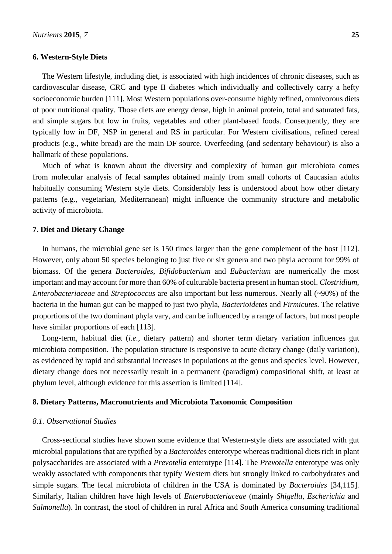#### **6. Western-Style Diets**

The Western lifestyle, including diet, is associated with high incidences of chronic diseases, such as cardiovascular disease, CRC and type II diabetes which individually and collectively carry a hefty socioeconomic burden [111]. Most Western populations over-consume highly refined, omnivorous diets of poor nutritional quality. Those diets are energy dense, high in animal protein, total and saturated fats, and simple sugars but low in fruits, vegetables and other plant-based foods. Consequently, they are typically low in DF, NSP in general and RS in particular. For Western civilisations, refined cereal products (e.g., white bread) are the main DF source. Overfeeding (and sedentary behaviour) is also a hallmark of these populations.

Much of what is known about the diversity and complexity of human gut microbiota comes from molecular analysis of fecal samples obtained mainly from small cohorts of Caucasian adults habitually consuming Western style diets. Considerably less is understood about how other dietary patterns (e.g., vegetarian, Mediterranean) might influence the community structure and metabolic activity of microbiota.

#### **7. Diet and Dietary Change**

In humans, the microbial gene set is 150 times larger than the gene complement of the host [112]. However, only about 50 species belonging to just five or six genera and two phyla account for 99% of biomass. Of the genera *Bacteroides*, *Bifidobacterium* and *Eubacterium* are numerically the most important and may account for more than 60% of culturable bacteria present in human stool. *Clostridium*, *Enterobacteriaceae* and *Streptococcus* are also important but less numerous. Nearly all (~90%) of the bacteria in the human gut can be mapped to just two phyla, *Bacterioidetes* and *Firmicutes*. The relative proportions of the two dominant phyla vary, and can be influenced by a range of factors, but most people have similar proportions of each [113].

Long-term, habitual diet (*i.e.*, dietary pattern) and shorter term dietary variation influences gut microbiota composition. The population structure is responsive to acute dietary change (daily variation), as evidenced by rapid and substantial increases in populations at the genus and species level. However, dietary change does not necessarily result in a permanent (paradigm) compositional shift, at least at phylum level, although evidence for this assertion is limited [114].

#### **8. Dietary Patterns, Macronutrients and Microbiota Taxonomic Composition**

#### *8.1. Observational Studies*

Cross-sectional studies have shown some evidence that Western-style diets are associated with gut microbial populations that are typified by a *Bacteroides* enterotype whereas traditional diets rich in plant polysaccharides are associated with a *Prevotella* enterotype [114]. The *Prevotella* enterotype was only weakly associated with components that typify Western diets but strongly linked to carbohydrates and simple sugars. The fecal microbiota of children in the USA is dominated by *Bacteroides* [34,115]. Similarly, Italian children have high levels of *Enterobacteriaceae* (mainly *Shigella*, *Escherichia* and *Salmonella*). In contrast, the stool of children in rural Africa and South America consuming traditional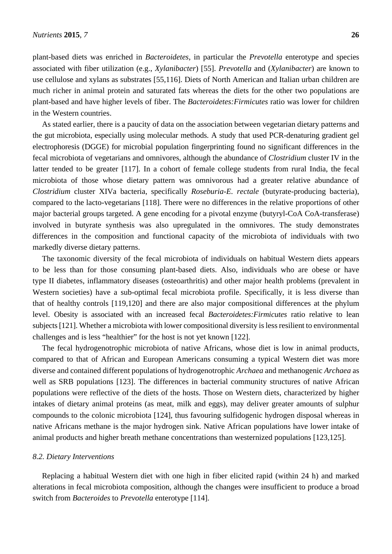plant-based diets was enriched in *Bacteroidetes*, in particular the *Prevotella* enterotype and species associated with fiber utilization (e.g., *Xylanibacter*) [55]. *Prevotella* and (*Xylanibacter*) are known to use cellulose and xylans as substrates [55,116]. Diets of North American and Italian urban children are much richer in animal protein and saturated fats whereas the diets for the other two populations are plant-based and have higher levels of fiber. The *Bacteroidetes:Firmicutes* ratio was lower for children in the Western countries.

As stated earlier, there is a paucity of data on the association between vegetarian dietary patterns and the gut microbiota, especially using molecular methods. A study that used PCR-denaturing gradient gel electrophoresis (DGGE) for microbial population fingerprinting found no significant differences in the fecal microbiota of vegetarians and omnivores, although the abundance of *Clostridium* cluster IV in the latter tended to be greater [117]. In a cohort of female college students from rural India, the fecal microbiota of those whose dietary pattern was omnivorous had a greater relative abundance of *Clostridium* cluster XIVa bacteria, specifically *Roseburia-E. rectale* (butyrate-producing bacteria), compared to the lacto-vegetarians [118]. There were no differences in the relative proportions of other major bacterial groups targeted. A gene encoding for a pivotal enzyme (butyryl-CoA CoA-transferase) involved in butyrate synthesis was also upregulated in the omnivores. The study demonstrates differences in the composition and functional capacity of the microbiota of individuals with two markedly diverse dietary patterns.

The taxonomic diversity of the fecal microbiota of individuals on habitual Western diets appears to be less than for those consuming plant-based diets. Also, individuals who are obese or have type II diabetes, inflammatory diseases (osteoarthritis) and other major health problems (prevalent in Western societies) have a sub-optimal fecal microbiota profile. Specifically, it is less diverse than that of healthy controls [119,120] and there are also major compositional differences at the phylum level. Obesity is associated with an increased fecal *Bacteroidetes:Firmicutes* ratio relative to lean subjects [121]. Whether a microbiota with lower compositional diversity is less resilient to environmental challenges and is less "healthier" for the host is not yet known [122].

The fecal hydrogenotrophic microbiota of native Africans, whose diet is low in animal products, compared to that of African and European Americans consuming a typical Western diet was more diverse and contained different populations of hydrogenotrophic *Archaea* and methanogenic *Archaea* as well as SRB populations [123]. The differences in bacterial community structures of native African populations were reflective of the diets of the hosts. Those on Western diets, characterized by higher intakes of dietary animal proteins (as meat, milk and eggs), may deliver greater amounts of sulphur compounds to the colonic microbiota [124], thus favouring sulfidogenic hydrogen disposal whereas in native Africans methane is the major hydrogen sink. Native African populations have lower intake of animal products and higher breath methane concentrations than westernized populations [123,125].

#### *8.2. Dietary Interventions*

Replacing a habitual Western diet with one high in fiber elicited rapid (within 24 h) and marked alterations in fecal microbiota composition, although the changes were insufficient to produce a broad switch from *Bacteroides* to *Prevotella* enterotype [114].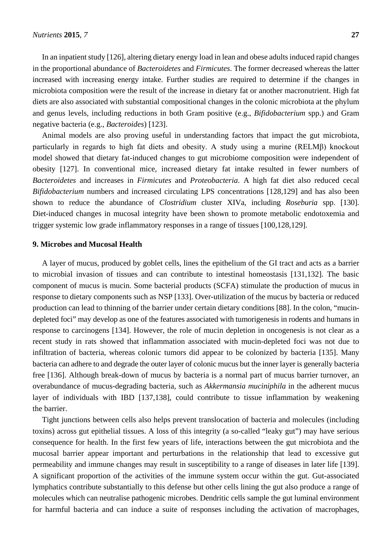In an inpatient study [126], altering dietary energy load in lean and obese adults induced rapid changes in the proportional abundance of *Bacteroidetes* and *Firmicutes*. The former decreased whereas the latter increased with increasing energy intake. Further studies are required to determine if the changes in microbiota composition were the result of the increase in dietary fat or another macronutrient. High fat diets are also associated with substantial compositional changes in the colonic microbiota at the phylum and genus levels, including reductions in both Gram positive (e.g., *Bifidobacterium* spp.) and Gram negative bacteria (e.g., *Bacteroides*) [123].

Animal models are also proving useful in understanding factors that impact the gut microbiota, particularly in regards to high fat diets and obesity. A study using a murine (RELMβ) knockout model showed that dietary fat-induced changes to gut microbiome composition were independent of obesity [127]. In conventional mice, increased dietary fat intake resulted in fewer numbers of *Bacteroidetes* and increases in *Firmicutes* and *Proteobacteria*. A high fat diet also reduced cecal *Bifidobacterium* numbers and increased circulating LPS concentrations [128,129] and has also been shown to reduce the abundance of *Clostridium* cluster XIVa, including *Roseburia* spp. [130]. Diet-induced changes in mucosal integrity have been shown to promote metabolic endotoxemia and trigger systemic low grade inflammatory responses in a range of tissues [100,128,129].

## **9. Microbes and Mucosal Health**

A layer of mucus, produced by goblet cells, lines the epithelium of the GI tract and acts as a barrier to microbial invasion of tissues and can contribute to intestinal homeostasis [131,132]. The basic component of mucus is mucin. Some bacterial products (SCFA) stimulate the production of mucus in response to dietary components such as NSP [133]. Over-utilization of the mucus by bacteria or reduced production can lead to thinning of the barrier under certain dietary conditions [88]. In the colon, "mucindepleted foci" may develop as one of the features associated with tumorigenesis in rodents and humans in response to carcinogens [134]. However, the role of mucin depletion in oncogenesis is not clear as a recent study in rats showed that inflammation associated with mucin-depleted foci was not due to infiltration of bacteria, whereas colonic tumors did appear to be colonized by bacteria [135]. Many bacteria can adhere to and degrade the outer layer of colonic mucus but the inner layer is generally bacteria free [136]. Although break-down of mucus by bacteria is a normal part of mucus barrier turnover, an overabundance of mucus-degrading bacteria, such as *Akkermansia muciniphila* in the adherent mucus layer of individuals with IBD [137,138], could contribute to tissue inflammation by weakening the barrier.

Tight junctions between cells also helps prevent translocation of bacteria and molecules (including toxins) across gut epithelial tissues. A loss of this integrity (a so-called "leaky gut") may have serious consequence for health. In the first few years of life, interactions between the gut microbiota and the mucosal barrier appear important and perturbations in the relationship that lead to excessive gut permeability and immune changes may result in susceptibility to a range of diseases in later life [139]. A significant proportion of the activities of the immune system occur within the gut. Gut-associated lymphatics contribute substantially to this defense but other cells lining the gut also produce a range of molecules which can neutralise pathogenic microbes. Dendritic cells sample the gut luminal environment for harmful bacteria and can induce a suite of responses including the activation of macrophages,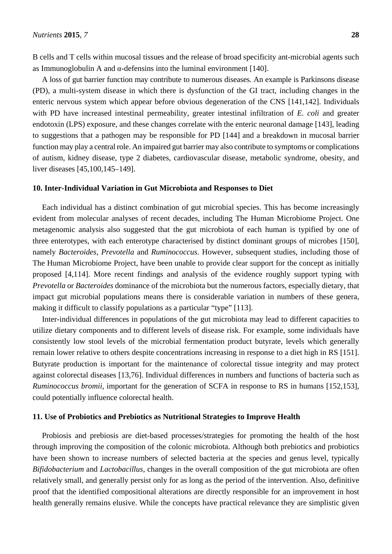B cells and T cells within mucosal tissues and the release of broad specificity ant-microbial agents such as Immunoglobulin A and α-defensins into the luminal environment [140].

A loss of gut barrier function may contribute to numerous diseases. An example is Parkinsons disease (PD), a multi-system disease in which there is dysfunction of the GI tract, including changes in the enteric nervous system which appear before obvious degeneration of the CNS [141,142]. Individuals with PD have increased intestinal permeability, greater intestinal infiltration of *E. coli* and greater endotoxin (LPS) exposure, and these changes correlate with the enteric neuronal damage [143], leading to suggestions that a pathogen may be responsible for PD [144] and a breakdown in mucosal barrier function may play a central role. An impaired gut barrier may also contribute to symptoms or complications of autism, kidney disease, type 2 diabetes, cardiovascular disease, metabolic syndrome, obesity, and liver diseases [45,100,145–149].

# **10. Inter-Individual Variation in Gut Microbiota and Responses to Diet**

Each individual has a distinct combination of gut microbial species. This has become increasingly evident from molecular analyses of recent decades, including The Human Microbiome Project. One metagenomic analysis also suggested that the gut microbiota of each human is typified by one of three enterotypes, with each enterotype characterised by distinct dominant groups of microbes [150], namely *Bacteroides*, *Prevotella* and *Ruminococcus*. However, subsequent studies, including those of The Human Microbiome Project, have been unable to provide clear support for the concept as initially proposed [4,114]. More recent findings and analysis of the evidence roughly support typing with *Prevotella* or *Bacteroides* dominance of the microbiota but the numerous factors, especially dietary, that impact gut microbial populations means there is considerable variation in numbers of these genera, making it difficult to classify populations as a particular "type" [113].

Inter-individual differences in populations of the gut microbiota may lead to different capacities to utilize dietary components and to different levels of disease risk. For example, some individuals have consistently low stool levels of the microbial fermentation product butyrate, levels which generally remain lower relative to others despite concentrations increasing in response to a diet high in RS [151]. Butyrate production is important for the maintenance of colorectal tissue integrity and may protect against colorectal diseases [13,76]. Individual differences in numbers and functions of bacteria such as *Ruminococcus bromii*, important for the generation of SCFA in response to RS in humans [152,153], could potentially influence colorectal health.

#### **11. Use of Probiotics and Prebiotics as Nutritional Strategies to Improve Health**

Probiosis and prebiosis are diet-based processes/strategies for promoting the health of the host through improving the composition of the colonic microbiota. Although both prebiotics and probiotics have been shown to increase numbers of selected bacteria at the species and genus level, typically *Bifidobacterium* and *Lactobacillus*, changes in the overall composition of the gut microbiota are often relatively small, and generally persist only for as long as the period of the intervention. Also, definitive proof that the identified compositional alterations are directly responsible for an improvement in host health generally remains elusive. While the concepts have practical relevance they are simplistic given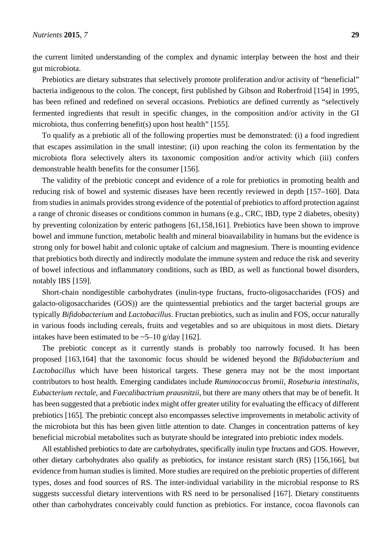the current limited understanding of the complex and dynamic interplay between the host and their gut microbiota.

Prebiotics are dietary substrates that selectively promote proliferation and/or activity of "beneficial" bacteria indigenous to the colon. The concept, first published by Gibson and Roberfroid [154] in 1995, has been refined and redefined on several occasions. Prebiotics are defined currently as "selectively fermented ingredients that result in specific changes, in the composition and/or activity in the GI microbiota, thus conferring benefit(s) upon host health" [155].

To qualify as a prebiotic all of the following properties must be demonstrated: (i) a food ingredient that escapes assimilation in the small intestine; (ii) upon reaching the colon its fermentation by the microbiota flora selectively alters its taxonomic composition and/or activity which (iii) confers demonstrable health benefits for the consumer [156].

The validity of the prebiotic concept and evidence of a role for prebiotics in promoting health and reducing risk of bowel and systemic diseases have been recently reviewed in depth [157–160]. Data from studies in animals provides strong evidence of the potential of prebiotics to afford protection against a range of chronic diseases or conditions common in humans (e.g., CRC, IBD, type 2 diabetes, obesity) by preventing colonization by enteric pathogens [61,158,161]. Prebiotics have been shown to improve bowel and immune function, metabolic health and mineral bioavailability in humans but the evidence is strong only for bowel habit and colonic uptake of calcium and magnesium. There is mounting evidence that prebiotics both directly and indirectly modulate the immune system and reduce the risk and severity of bowel infectious and inflammatory conditions, such as IBD, as well as functional bowel disorders, notably IBS [159].

Short-chain nondigestible carbohydrates (inulin-type fructans, fructo-oligosaccharides (FOS) and galacto-oligosaccharides (GOS)) are the quintessential prebiotics and the target bacterial groups are typically *Bifidobacterium* and *Lactobacillus*. Fructan prebiotics, such as inulin and FOS, occur naturally in various foods including cereals, fruits and vegetables and so are ubiquitous in most diets. Dietary intakes have been estimated to be  $\sim$  5–10 g/day [162].

The prebiotic concept as it currently stands is probably too narrowly focused. It has been proposed [163,164] that the taxonomic focus should be widened beyond the *Bifidobacterium* and *Lactobacillus* which have been historical targets. These genera may not be the most important contributors to host health. Emerging candidates include *Ruminococcus bromii*, *Roseburia intestinalis*, *Eubacterium rectale*, and *Faecalibactrium prausnitzii*, but there are many others that may be of benefit. It has been suggested that a prebiotic index might offer greater utility for evaluating the efficacy of different prebiotics [165]. The prebiotic concept also encompasses selective improvements in metabolic activity of the microbiota but this has been given little attention to date. Changes in concentration patterns of key beneficial microbial metabolites such as butyrate should be integrated into prebiotic index models.

All established prebiotics to date are carbohydrates, specifically inulin type fructans and GOS. However, other dietary carbohydrates also qualify as prebiotics, for instance resistant starch (RS) [156,166], but evidence from human studies is limited. More studies are required on the prebiotic properties of different types, doses and food sources of RS. The inter-individual variability in the microbial response to RS suggests successful dietary interventions with RS need to be personalised [167]. Dietary constituents other than carbohydrates conceivably could function as prebiotics. For instance, cocoa flavonols can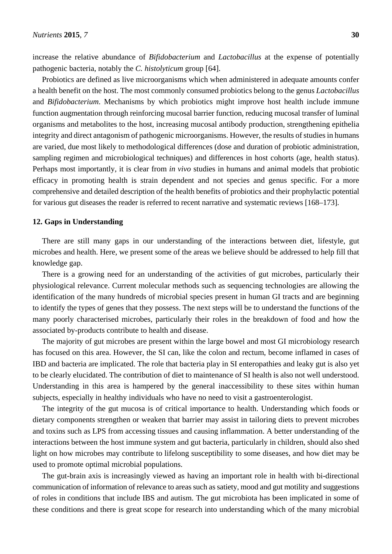increase the relative abundance of *Bifidobacterium* and *Lactobacillus* at the expense of potentially pathogenic bacteria, notably the *C. histolyticum* group [64].

Probiotics are defined as live microorganisms which when administered in adequate amounts confer a health benefit on the host. The most commonly consumed probiotics belong to the genus *Lactobacillus* and *Bifidobacterium*. Mechanisms by which probiotics might improve host health include immune function augmentation through reinforcing mucosal barrier function, reducing mucosal transfer of luminal organisms and metabolites to the host, increasing mucosal antibody production, strengthening epithelia integrity and direct antagonism of pathogenic microorganisms. However, the results of studies in humans are varied, due most likely to methodological differences (dose and duration of probiotic administration, sampling regimen and microbiological techniques) and differences in host cohorts (age, health status). Perhaps most importantly, it is clear from *in vivo* studies in humans and animal models that probiotic efficacy in promoting health is strain dependent and not species and genus specific. For a more comprehensive and detailed description of the health benefits of probiotics and their prophylactic potential for various gut diseases the reader is referred to recent narrative and systematic reviews [168–173].

#### **12. Gaps in Understanding**

There are still many gaps in our understanding of the interactions between diet, lifestyle, gut microbes and health. Here, we present some of the areas we believe should be addressed to help fill that knowledge gap.

There is a growing need for an understanding of the activities of gut microbes, particularly their physiological relevance. Current molecular methods such as sequencing technologies are allowing the identification of the many hundreds of microbial species present in human GI tracts and are beginning to identify the types of genes that they possess. The next steps will be to understand the functions of the many poorly characterised microbes, particularly their roles in the breakdown of food and how the associated by-products contribute to health and disease.

The majority of gut microbes are present within the large bowel and most GI microbiology research has focused on this area. However, the SI can, like the colon and rectum, become inflamed in cases of IBD and bacteria are implicated. The role that bacteria play in SI enteropathies and leaky gut is also yet to be clearly elucidated. The contribution of diet to maintenance of SI health is also not well understood. Understanding in this area is hampered by the general inaccessibility to these sites within human subjects, especially in healthy individuals who have no need to visit a gastroenterologist.

The integrity of the gut mucosa is of critical importance to health. Understanding which foods or dietary components strengthen or weaken that barrier may assist in tailoring diets to prevent microbes and toxins such as LPS from accessing tissues and causing inflammation. A better understanding of the interactions between the host immune system and gut bacteria, particularly in children, should also shed light on how microbes may contribute to lifelong susceptibility to some diseases, and how diet may be used to promote optimal microbial populations.

The gut-brain axis is increasingly viewed as having an important role in health with bi-directional communication of information of relevance to areas such as satiety, mood and gut motility and suggestions of roles in conditions that include IBS and autism. The gut microbiota has been implicated in some of these conditions and there is great scope for research into understanding which of the many microbial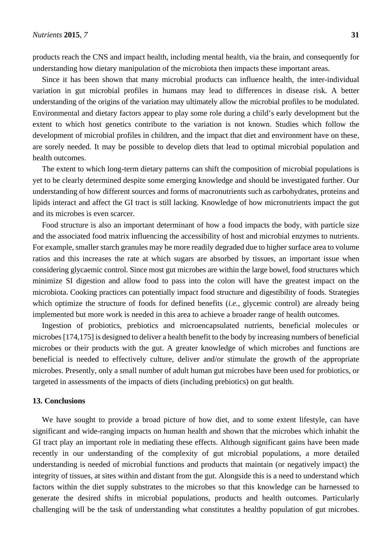products reach the CNS and impact health, including mental health, via the brain, and consequently for understanding how dietary manipulation of the microbiota then impacts these important areas.

Since it has been shown that many microbial products can influence health, the inter-individual variation in gut microbial profiles in humans may lead to differences in disease risk. A better understanding of the origins of the variation may ultimately allow the microbial profiles to be modulated. Environmental and dietary factors appear to play some role during a child's early development but the extent to which host genetics contribute to the variation is not known. Studies which follow the development of microbial profiles in children, and the impact that diet and environment have on these, are sorely needed. It may be possible to develop diets that lead to optimal microbial population and health outcomes.

The extent to which long-term dietary patterns can shift the composition of microbial populations is yet to be clearly determined despite some emerging knowledge and should be investigated further. Our understanding of how different sources and forms of macronutrients such as carbohydrates, proteins and lipids interact and affect the GI tract is still lacking. Knowledge of how micronutrients impact the gut and its microbes is even scarcer.

Food structure is also an important determinant of how a food impacts the body, with particle size and the associated food matrix influencing the accessibility of host and microbial enzymes to nutrients. For example, smaller starch granules may be more readily degraded due to higher surface area to volume ratios and this increases the rate at which sugars are absorbed by tissues, an important issue when considering glycaemic control. Since most gut microbes are within the large bowel, food structures which minimize SI digestion and allow food to pass into the colon will have the greatest impact on the microbiota. Cooking practices can potentially impact food structure and digestibility of foods. Strategies which optimize the structure of foods for defined benefits (*i.e.*, glycemic control) are already being implemented but more work is needed in this area to achieve a broader range of health outcomes.

Ingestion of probiotics, prebiotics and microencapsulated nutrients, beneficial molecules or microbes [174,175] is designed to deliver a health benefit to the body by increasing numbers of beneficial microbes or their products with the gut. A greater knowledge of which microbes and functions are beneficial is needed to effectively culture, deliver and/or stimulate the growth of the appropriate microbes. Presently, only a small number of adult human gut microbes have been used for probiotics, or targeted in assessments of the impacts of diets (including prebiotics) on gut health.

#### **13. Conclusions**

We have sought to provide a broad picture of how diet, and to some extent lifestyle, can have significant and wide-ranging impacts on human health and shown that the microbes which inhabit the GI tract play an important role in mediating these effects. Although significant gains have been made recently in our understanding of the complexity of gut microbial populations, a more detailed understanding is needed of microbial functions and products that maintain (or negatively impact) the integrity of tissues, at sites within and distant from the gut. Alongside this is a need to understand which factors within the diet supply substrates to the microbes so that this knowledge can be harnessed to generate the desired shifts in microbial populations, products and health outcomes. Particularly challenging will be the task of understanding what constitutes a healthy population of gut microbes.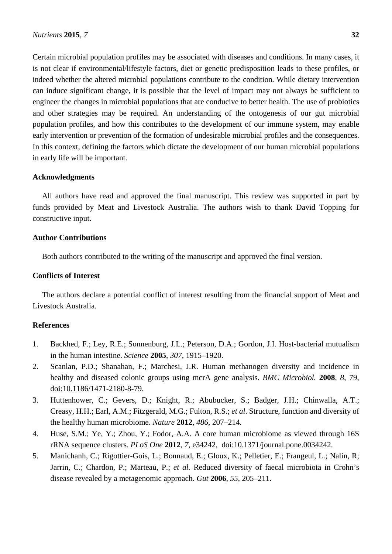Certain microbial population profiles may be associated with diseases and conditions. In many cases, it is not clear if environmental/lifestyle factors, diet or genetic predisposition leads to these profiles, or indeed whether the altered microbial populations contribute to the condition. While dietary intervention can induce significant change, it is possible that the level of impact may not always be sufficient to engineer the changes in microbial populations that are conducive to better health. The use of probiotics and other strategies may be required. An understanding of the ontogenesis of our gut microbial population profiles, and how this contributes to the development of our immune system, may enable early intervention or prevention of the formation of undesirable microbial profiles and the consequences. In this context, defining the factors which dictate the development of our human microbial populations in early life will be important.

#### **Acknowledgments**

All authors have read and approved the final manuscript. This review was supported in part by funds provided by Meat and Livestock Australia. The authors wish to thank David Topping for constructive input.

## **Author Contributions**

Both authors contributed to the writing of the manuscript and approved the final version.

#### **Conflicts of Interest**

The authors declare a potential conflict of interest resulting from the financial support of Meat and Livestock Australia.

#### **References**

- 1. Backhed, F.; Ley, R.E.; Sonnenburg, J.L.; Peterson, D.A.; Gordon, J.I. Host-bacterial mutualism in the human intestine. *Science* **2005**, *307*, 1915–1920.
- 2. Scanlan, P.D.; Shanahan, F.; Marchesi, J.R. Human methanogen diversity and incidence in healthy and diseased colonic groups using mcrA gene analysis. *BMC Microbiol.* **2008**, *8*, 79, doi:10.1186/1471-2180-8-79.
- 3. Huttenhower, C.; Gevers, D.; Knight, R.; Abubucker, S.; Badger, J.H.; Chinwalla, A.T.; Creasy, H.H.; Earl, A.M.; Fitzgerald, M.G.; Fulton, R.S.; *et al*. Structure, function and diversity of the healthy human microbiome. *Nature* **2012**, *486*, 207–214.
- 4. Huse, S.M.; Ye, Y.; Zhou, Y.; Fodor, A.A. A core human microbiome as viewed through 16S rRNA sequence clusters. *PLoS One* **2012**, *7*, e34242, doi:10.1371/journal.pone.0034242.
- 5. Manichanh, C.; Rigottier-Gois, L.; Bonnaud, E.; Gloux, K.; Pelletier, E.; Frangeul, L.; Nalin, R; Jarrin, C.; Chardon, P.; Marteau, P.; *et al.* Reduced diversity of faecal microbiota in Crohn's disease revealed by a metagenomic approach. *Gut* **2006**, *55*, 205–211.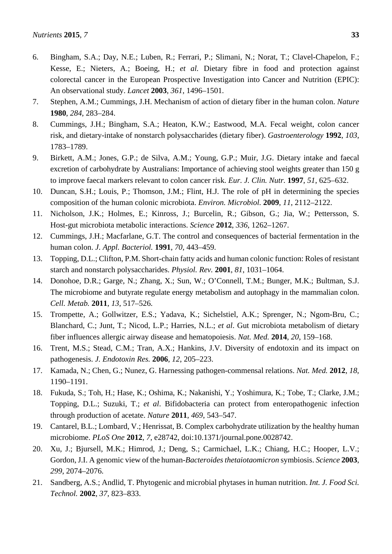- 6. Bingham, S.A.; Day, N.E.; Luben, R.; Ferrari, P.; Slimani, N.; Norat, T.; Clavel-Chapelon, F.; Kesse, E.; Nieters, A.; Boeing, H.; *et al.* Dietary fibre in food and protection against colorectal cancer in the European Prospective Investigation into Cancer and Nutrition (EPIC): An observational study. *Lancet* **2003**, *361*, 1496–1501.
- 7. Stephen, A.M.; Cummings, J.H. Mechanism of action of dietary fiber in the human colon. *Nature*  **1980**, *284*, 283–284.
- 8. Cummings, J.H.; Bingham, S.A.; Heaton, K.W.; Eastwood, M.A. Fecal weight, colon cancer risk, and dietary-intake of nonstarch polysaccharides (dietary fiber). *Gastroenterology* **1992**, *103*, 1783–1789.
- 9. Birkett, A.M.; Jones, G.P.; de Silva, A.M.; Young, G.P.; Muir, J.G. Dietary intake and faecal excretion of carbohydrate by Australians: Importance of achieving stool weights greater than 150 g to improve faecal markers relevant to colon cancer risk. *Eur. J. Clin. Nutr.* **1997**, *51*, 625–632.
- 10. Duncan, S.H.; Louis, P.; Thomson, J.M.; Flint, H.J. The role of pH in determining the species composition of the human colonic microbiota. *Environ. Microbiol.* **2009**, *11*, 2112–2122.
- 11. Nicholson, J.K.; Holmes, E.; Kinross, J.; Burcelin, R.; Gibson, G.; Jia, W.; Pettersson, S. Host-gut microbiota metabolic interactions. *Science* **2012**, *336*, 1262–1267.
- 12. Cummings, J.H.; Macfarlane, G.T. The control and consequences of bacterial fermentation in the human colon. *J. Appl. Bacteriol.* **1991**, *70*, 443–459.
- 13. Topping, D.L.; Clifton, P.M. Short-chain fatty acids and human colonic function: Roles of resistant starch and nonstarch polysaccharides. *Physiol. Rev.* **2001**, *81*, 1031–1064.
- 14. Donohoe, D.R.; Garge, N.; Zhang, X.; Sun, W.; O'Connell, T.M.; Bunger, M.K.; Bultman, S.J. The microbiome and butyrate regulate energy metabolism and autophagy in the mammalian colon. *Cell. Metab.* **2011**, *13*, 517–526.
- 15. Trompette, A.; Gollwitzer, E.S.; Yadava, K.; Sichelstiel, A.K.; Sprenger, N.; Ngom-Bru, C.; Blanchard, C.; Junt, T.; Nicod, L.P.; Harries, N.L.; *et al*. Gut microbiota metabolism of dietary fiber influences allergic airway disease and hematopoiesis. *Nat. Med.* **2014**, *20*, 159–168.
- 16. Trent, M.S.; Stead, C.M.; Tran, A.X.; Hankins, J.V. Diversity of endotoxin and its impact on pathogenesis. *J. Endotoxin Res.* **2006**, *12*, 205–223.
- 17. Kamada, N.; Chen, G.; Nunez, G. Harnessing pathogen-commensal relations. *Nat. Med.* **2012**, *18*, 1190–1191.
- 18. Fukuda, S.; Toh, H.; Hase, K.; Oshima, K.; Nakanishi, Y.; Yoshimura, K.; Tobe, T.; Clarke, J.M.; Topping, D.L.; Suzuki, T.; *et al*. Bifidobacteria can protect from enteropathogenic infection through production of acetate. *Nature* **2011**, *469*, 543–547.
- 19. Cantarel, B.L.; Lombard, V.; Henrissat, B. Complex carbohydrate utilization by the healthy human microbiome. *PLoS One* **2012**, *7*, e28742, doi:10.1371/journal.pone.0028742.
- 20. Xu, J.; Bjursell, M.K.; Himrod, J.; Deng, S.; Carmichael, L.K.; Chiang, H.C.; Hooper, L.V.; Gordon, J.I. A genomic view of the human-*Bacteroides thetaiotaomicron* symbiosis. *Science* **2003**, *299*, 2074–2076.
- 21. Sandberg, A.S.; Andlid, T. Phytogenic and microbial phytases in human nutrition. *Int. J. Food Sci. Technol.* **2002**, *37*, 823–833.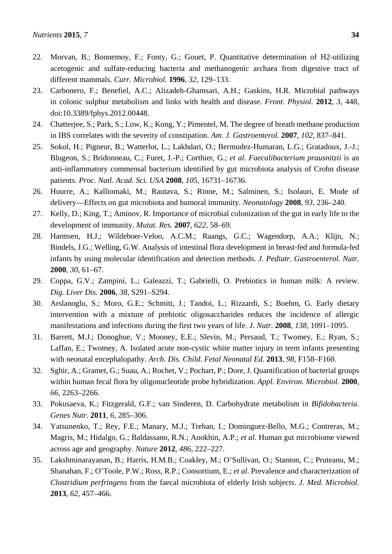- 23. Carbonero, F.; Benefiel, A.C.; Alizadeh-Ghamsari, A.H.; Gaskins, H.R. Microbial pathways in colonic sulphur metabolism and links with health and disease. *Front. Physiol.* **2012**, *3*, 448, doi:10.3389/fphys.2012.00448.
- 24. Chatterjee, S.; Park, S.; Low, K.; Kong, Y.; Pimentel, M. The degree of breath methane production in IBS correlates with the severity of constipation. *Am. J. Gastroenterol.* **2007**, *102*, 837–841.
- 25. Sokol, H.; Pigneur, B.; Watterlot, L.; Lakhdari, O.; Bermudez-Humaran, L.G.; Gratadoux, J.-J.; Blugeon, S.; Bridonneau, C.; Furet, J.-P.; Corthier, G.; *et al*. *Faecalibacterium prausnitzii* is an anti-inflammatory commensal bacterium identified by gut microbiota analysis of Crohn disease patients. *Proc. Natl. Acad. Sci. USA* **2008**, *105*, 16731–16736.
- 26. Huurre, A.; Kalliomaki, M.; Rautava, S.; Rinne, M.; Salminen, S.; Isolauri, E. Mode of delivery—Effects on gut microbiota and humoral immunity. *Neonatology* **2008**, *93*, 236–240.
- 27. Kelly, D.; King, T.; Aminov, R. Importance of microbial colonization of the gut in early life to the development of immunity. *Mutat. Res.* **2007**, *622*, 58–69.
- 28. Harmsen, H.J.; Wildeboer-Veloo, A.C.M.; Raangs, G.C.; Wagendorp, A.A.; Klijn, N.; Bindels, J.G.; Welling, G.W. Analysis of intestinal flora development in breast-fed and formula-fed infants by using molecular identification and detection methods. *J. Pediatr. Gastroenterol. Nutr.*  **2000**, *30*, 61–67.
- 29. Coppa, G.V.; Zampini, L.; Galeazzi, T.; Gabrielli, O. Prebiotics in human milk: A review. *Dig. Liver Dis.* **2006**, *38*, S291–S294.
- 30. Arslanoglu, S.; Moro, G.E.; Schmitt, J.; Tandoi, L.; Rizzardi, S.; Boehm, G. Early dietary intervention with a mixture of prebiotic oligosaccharides reduces the incidence of allergic manifestations and infections during the first two years of life. *J. Nutr.* **2008**, *138*, 1091–1095.
- 31. Barrett, M.J.; Donoghue, V.; Mooney, E.E.; Slevin, M.; Persaud, T.; Twomey, E.; Ryan, S.; Laffan, E.; Twomey, A. Isolated acute non-cystic white matter injury in term infants presenting with neonatal encephalopathy. *Arch. Dis. Child. Fetal Neonatal Ed.* **2013**, *98*, F158–F160.
- 32. Sghir, A.; Gramet, G.; Suau, A.; Rochet, V.; Pochart, P.; Dore, J. Quantification of bacterial groups within human fecal flora by oligonucleotide probe hybridization. *Appl. Environ. Microbiol.* **2000**, *66*, 2263–2266.
- 33. Pokusaeva, K.; Fitzgerald, G.F.; van Sinderen, D. Carbohydrate metabolism in *Bifidobacteria*. *Genes Nutr.* **2011**, *6*, 285–306.
- 34. Yatsunenko, T.; Rey, F.E.; Manary, M.J.; Trehan, I.; Dominguez-Bello, M.G.; Contreras, M.; Magris, M.; Hidalgo, G.; Baldassano, R.N.; Anokhin, A.P.; *et al*. Human gut microbiome viewed across age and geography. *Nature* **2012**, *486*, 222–227.
- 35. Lakshminarayanan, B.; Harris, H.M.B.; Coakley, M.; O'Sullivan, O.; Stanton, C.; Pruteanu, M.; Shanahan, F.; O'Toole, P.W.; Ross, R.P.; Consortium, E.; *et al*. Prevalence and characterization of *Clostridium perfringens* from the faecal microbiota of elderly Irish subjects. *J. Med. Microbiol.* **2013**, *62*, 457–466.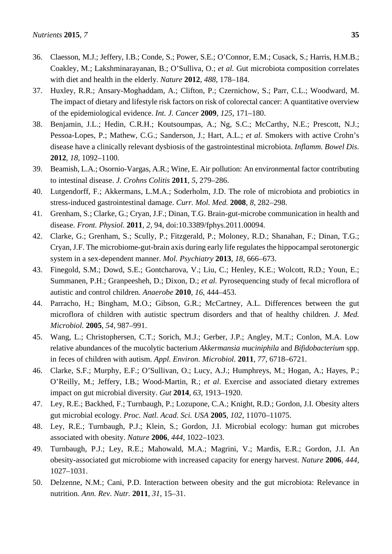- 36. Claesson, M.J.; Jeffery, I.B.; Conde, S.; Power, S.E.; O'Connor, E.M.; Cusack, S.; Harris, H.M.B.; Coakley, M.; Lakshminarayanan, B.; O'Sulliva, O.; *et al.* Gut microbiota composition correlates with diet and health in the elderly. *Nature* **2012**, *488*, 178–184.
- 37. Huxley, R.R.; Ansary-Moghaddam, A.; Clifton, P.; Czernichow, S.; Parr, C.L.; Woodward, M. The impact of dietary and lifestyle risk factors on risk of colorectal cancer: A quantitative overview of the epidemiological evidence. *Int. J. Cancer* **2009**, *125*, 171–180.
- 38. Benjamin, J.L.; Hedin, C.R.H.; Koutsoumpas, A.; Ng, S.C.; McCarthy, N.E.; Prescott, N.J.; Pessoa-Lopes, P.; Mathew, C.G.; Sanderson, J.; Hart, A.L.; *et al.* Smokers with active Crohn's disease have a clinically relevant dysbiosis of the gastrointestinal microbiota. *Inflamm. Bowel Dis.* **2012**, *18*, 1092–1100.
- 39. Beamish, L.A.; Osornio-Vargas, A.R.; Wine, E. Air pollution: An environmental factor contributing to intestinal disease. *J. Crohns Colitis* **2011**, *5*, 279–286.
- 40. Lutgendorff, F.; Akkermans, L.M.A.; Soderholm, J.D. The role of microbiota and probiotics in stress-induced gastrointestinal damage. *Curr. Mol. Med.* **2008**, *8*, 282–298.
- 41. Grenham, S.; Clarke, G.; Cryan, J.F.; Dinan, T.G. Brain-gut-microbe communication in health and disease. *Front. Physiol.* **2011**, *2*, 94, doi:10.3389/fphys.2011.00094.
- 42. Clarke, G.; Grenham, S.; Scully, P.; Fitzgerald, P.; Moloney, R.D.; Shanahan, F.; Dinan, T.G.; Cryan, J.F. The microbiome-gut-brain axis during early life regulates the hippocampal serotonergic system in a sex-dependent manner. *Mol. Psychiatry* **2013**, *18*, 666–673.
- 43. Finegold, S.M.; Dowd, S.E.; Gontcharova, V.; Liu, C.; Henley, K.E.; Wolcott, R.D.; Youn, E.; Summanen, P.H.; Granpeesheh, D.; Dixon, D.; *et al.* Pyrosequencing study of fecal microflora of autistic and control children. *Anaerobe* **2010**, *16*, 444–453.
- 44. Parracho, H.; Bingham, M.O.; Gibson, G.R.; McCartney, A.L. Differences between the gut microflora of children with autistic spectrum disorders and that of healthy children*. J. Med. Microbiol.* **2005**, *54*, 987–991.
- 45. Wang, L.; Christophersen, C.T.; Sorich, M.J.; Gerber, J.P.; Angley, M.T.; Conlon, M.A. Low relative abundances of the mucolytic bacterium *Akkermansia muciniphila* and *Bifidobacterium* spp. in feces of children with autism. *Appl. Environ. Microbiol.* **2011**, *77*, 6718–6721.
- 46. Clarke, S.F.; Murphy, E.F.; O'Sullivan, O.; Lucy, A.J.; Humphreys, M.; Hogan, A.; Hayes, P.; O'Reilly, M.; Jeffery, I.B.; Wood-Martin, R.; *et al*. Exercise and associated dietary extremes impact on gut microbial diversity. *Gut* **2014**, *63*, 1913–1920.
- 47. Ley, R.E.; Backhed, F.; Turnbaugh, P.; Lozupone, C.A.; Knight, R.D.; Gordon, J.I. Obesity alters gut microbial ecology. *Proc. Natl. Acad. Sci. USA* **2005**, *102*, 11070–11075.
- 48. Ley, R.E.; Turnbaugh, P.J.; Klein, S.; Gordon, J.I. Microbial ecology: human gut microbes associated with obesity. *Nature* **2006**, *444*, 1022–1023.
- 49. Turnbaugh, P.J.; Ley, R.E.; Mahowald, M.A.; Magrini, V.; Mardis, E.R.; Gordon, J.I. An obesity-associated gut microbiome with increased capacity for energy harvest. *Nature* **2006**, *444*, 1027–1031.
- 50. Delzenne, N.M.; Cani, P.D. Interaction between obesity and the gut microbiota: Relevance in nutrition. *Ann. Rev. Nutr.* **2011**, *31*, 15–31.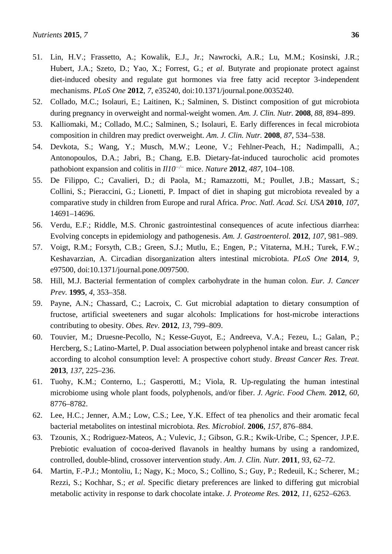- 51. Lin, H.V.; Frassetto, A.; Kowalik, E.J., Jr.; Nawrocki, A.R.; Lu, M.M.; Kosinski, J.R.; Hubert, J.A.; Szeto, D.; Yao, X.; Forrest, G.; *et al*. Butyrate and propionate protect against diet-induced obesity and regulate gut hormones via free fatty acid receptor 3-independent mechanisms. *PLoS One* **2012**, *7*, e35240, doi:10.1371/journal.pone.0035240.
- 52. Collado, M.C.; Isolauri, E.; Laitinen, K.; Salminen, S. Distinct composition of gut microbiota during pregnancy in overweight and normal-weight women. *Am. J. Clin. Nutr.* **2008**, *88*, 894–899.
- 53. Kalliomaki, M.; Collado, M.C.; Salminen, S.; Isolauri, E. Early differences in fecal microbiota composition in children may predict overweight. *Am. J. Clin. Nutr.* **2008**, *87*, 534–538.
- 54. Devkota, S.; Wang, Y.; Musch, M.W.; Leone, V.; Fehlner-Peach, H.; Nadimpalli, A.; Antonopoulos, D.A.; Jabri, B.; Chang, E.B. Dietary-fat-induced taurocholic acid promotes pathobiont expansion and colitis in *Il10−/−* mice. *Nature* **2012**, *487*, 104–108.
- 55. De Filippo, C.; Cavalieri, D.; di Paola, M.; Ramazzotti, M.; Poullet, J.B.; Massart, S.; Collini, S.; Pieraccini, G.; Lionetti, P. Impact of diet in shaping gut microbiota revealed by a comparative study in children from Europe and rural Africa. *Proc. Natl. Acad. Sci. USA* **2010**, *107*, 14691–14696.
- 56. Verdu, E.F.; Riddle, M.S. Chronic gastrointestinal consequences of acute infectious diarrhea: Evolving concepts in epidemiology and pathogenesis. *Am. J. Gastroenterol.* **2012**, *107*, 981–989.
- 57. Voigt, R.M.; Forsyth, C.B.; Green, S.J.; Mutlu, E.; Engen, P.; Vitaterna, M.H.; Turek, F.W.; Keshavarzian, A. Circadian disorganization alters intestinal microbiota. *PLoS One* **2014**, *9*, e97500, doi:10.1371/journal.pone.0097500.
- 58. Hill, M.J. Bacterial fermentation of complex carbohydrate in the human colon. *Eur. J. Cancer Prev.* **1995**, *4*, 353–358.
- 59. Payne, A.N.; Chassard, C.; Lacroix, C. Gut microbial adaptation to dietary consumption of fructose, artificial sweeteners and sugar alcohols: Implications for host-microbe interactions contributing to obesity. *Obes. Rev.* **2012**, *13*, 799–809.
- 60. Touvier, M.; Druesne-Pecollo, N.; Kesse-Guyot, E.; Andreeva, V.A.; Fezeu, L.; Galan, P.; Hercberg, S.; Latino-Martel, P. Dual association between polyphenol intake and breast cancer risk according to alcohol consumption level: A prospective cohort study. *Breast Cancer Res. Treat.* **2013**, *137*, 225–236.
- 61. Tuohy, K.M.; Conterno, L.; Gasperotti, M.; Viola, R. Up-regulating the human intestinal microbiome using whole plant foods, polyphenols, and/or fiber. *J. Agric. Food Chem.* **2012**, *60*, 8776–8782.
- 62. Lee, H.C.; Jenner, A.M.; Low, C.S.; Lee, Y.K. Effect of tea phenolics and their aromatic fecal bacterial metabolites on intestinal microbiota. *Res. Microbiol.* **2006**, *157*, 876–884.
- 63. Tzounis, X.; Rodriguez-Mateos, A.; Vulevic, J.; Gibson, G.R.; Kwik-Uribe, C.; Spencer, J.P.E. Prebiotic evaluation of cocoa-derived flavanols in healthy humans by using a randomized, controlled, double-blind, crossover intervention study. *Am. J. Clin. Nutr.* **2011**, *93*, 62–72.
- 64. Martin, F.-P.J.; Montoliu, I.; Nagy, K.; Moco, S.; Collino, S.; Guy, P.; Redeuil, K.; Scherer, M.; Rezzi, S.; Kochhar, S.; *et al*. Specific dietary preferences are linked to differing gut microbial metabolic activity in response to dark chocolate intake. *J. Proteome Res.* **2012**, *11*, 6252–6263.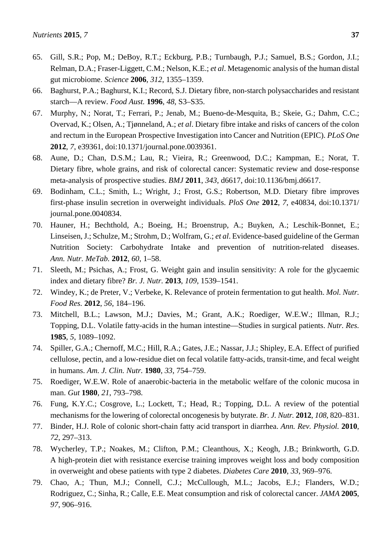- 65. Gill, S.R.; Pop, M.; DeBoy, R.T.; Eckburg, P.B.; Turnbaugh, P.J.; Samuel, B.S.; Gordon, J.I.; Relman, D.A.; Fraser-Liggett, C.M.; Nelson, K.E.; *et al*. Metagenomic analysis of the human distal gut microbiome. *Science* **2006**, *312*, 1355–1359.
- 66. Baghurst, P.A.; Baghurst, K.I.; Record, S.J. Dietary fibre, non-starch polysaccharides and resistant starch—A review. *Food Aust.* **1996**, *48*, S3–S35.
- 67. Murphy, N.; Norat, T.; Ferrari, P.; Jenab, M.; Bueno-de-Mesquita, B.; Skeie, G.; Dahm, C.C.; Overvad, K.; Olsen, A.; Tjønneland, A.; *et al*. Dietary fibre intake and risks of cancers of the colon and rectum in the European Prospective Investigation into Cancer and Nutrition (EPIC). *PLoS One* **2012**, *7*, e39361, doi:10.1371/journal.pone.0039361.
- 68. Aune, D.; Chan, D.S.M.; Lau, R.; Vieira, R.; Greenwood, D.C.; Kampman, E.; Norat, T. Dietary fibre, whole grains, and risk of colorectal cancer: Systematic review and dose-response meta-analysis of prospective studies. *BMJ* **2011**, *343*, d6617, doi:10.1136/bmj.d6617.
- 69. Bodinham, C.L.; Smith, L.; Wright, J.; Frost, G.S.; Robertson, M.D. Dietary fibre improves first-phase insulin secretion in overweight individuals. *PloS One* **2012**, *7*, e40834, doi:10.1371/ journal.pone.0040834.
- 70. Hauner, H.; Bechthold, A.; Boeing, H.; Broenstrup, A.; Buyken, A.; Leschik-Bonnet, E.; Linseisen, J.; Schulze, M.; Strohm, D.; Wolfram, G.; *et al*. Evidence-based guideline of the German Nutrition Society: Carbohydrate Intake and prevention of nutrition-related diseases. *Ann. Nutr. MeTab.* **2012**, *60*, 1–58.
- 71. Sleeth, M.; Psichas, A.; Frost, G. Weight gain and insulin sensitivity: A role for the glycaemic index and dietary fibre? *Br. J. Nutr.* **2013**, *109*, 1539–1541.
- 72. Windey, K.; de Preter, V.; Verbeke, K. Relevance of protein fermentation to gut health. *Mol. Nutr. Food Res.* **2012**, *56*, 184–196.
- 73. Mitchell, B.L.; Lawson, M.J.; Davies, M.; Grant, A.K.; Roediger, W.E.W.; Illman, R.J.; Topping, D.L. Volatile fatty-acids in the human intestine—Studies in surgical patients. *Nutr. Res.*  **1985**, *5*, 1089–1092.
- 74. Spiller, G.A.; Chernoff, M.C.; Hill, R.A.; Gates, J.E.; Nassar, J.J.; Shipley, E.A. Effect of purified cellulose, pectin, and a low-residue diet on fecal volatile fatty-acids, transit-time, and fecal weight in humans. *Am. J. Clin. Nutr.* **1980**, *33*, 754–759.
- 75. Roediger, W.E.W. Role of anaerobic-bacteria in the metabolic welfare of the colonic mucosa in man. *Gut* **1980**, *21*, 793–798.
- 76. Fung, K.Y.C.; Cosgrove, L.; Lockett, T.; Head, R.; Topping, D.L. A review of the potential mechanisms for the lowering of colorectal oncogenesis by butyrate. *Br. J. Nutr.* **2012**, *108*, 820–831.
- 77. Binder, H.J. Role of colonic short-chain fatty acid transport in diarrhea. *Ann. Rev. Physiol.* **2010**, *72*, 297–313.
- 78. Wycherley, T.P.; Noakes, M.; Clifton, P.M.; Cleanthous, X.; Keogh, J.B.; Brinkworth, G.D. A high-protein diet with resistance exercise training improves weight loss and body composition in overweight and obese patients with type 2 diabetes. *Diabetes Care* **2010**, *33*, 969–976.
- 79. Chao, A.; Thun, M.J.; Connell, C.J.; McCullough, M.L.; Jacobs, E.J.; Flanders, W.D.; Rodriguez, C.; Sinha, R.; Calle, E.E. Meat consumption and risk of colorectal cancer. *JAMA* **2005**, *97*, 906–916.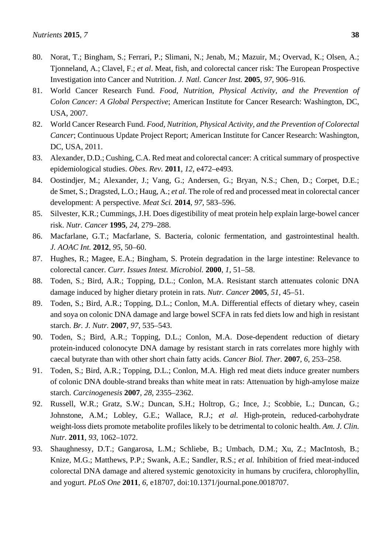- 81. World Cancer Research Fund. *Food, Nutrition, Physical Activity, and the Prevention of Colon Cancer: A Global Perspective*; American Institute for Cancer Research: Washington, DC, USA, 2007.
- 82. World Cancer Research Fund. *Food, Nutrition, Physical Activity, and the Prevention of Colorectal Cancer*; Continuous Update Project Report; American Institute for Cancer Research: Washington, DC, USA, 2011.
- 83. Alexander, D.D.; Cushing, C.A. Red meat and colorectal cancer: A critical summary of prospective epidemiological studies. *Obes. Rev.* **2011**, *12*, e472–e493.
- 84. Oostindjer, M.; Alexander, J.; Vang, G.; Andersen, G.; Bryan, N.S.; Chen, D.; Corpet, D.E.; de Smet, S.; Dragsted, L.O.; Haug, A.; *et al*. The role of red and processed meat in colorectal cancer development: A perspective. *Meat Sci.* **2014**, *97*, 583–596.
- 85. Silvester, K.R.; Cummings, J.H. Does digestibility of meat protein help explain large-bowel cancer risk. *Nutr. Cancer* **1995**, *24*, 279–288.
- 86. Macfarlane, G.T.; Macfarlane, S. Bacteria, colonic fermentation, and gastrointestinal health. *J. AOAC Int.* **2012**, *95*, 50–60.
- 87. Hughes, R.; Magee, E.A.; Bingham, S. Protein degradation in the large intestine: Relevance to colorectal cancer. *Curr. Issues Intest. Microbiol.* **2000**, *1*, 51–58.
- 88. Toden, S.; Bird, A.R.; Topping, D.L.; Conlon, M.A. Resistant starch attenuates colonic DNA damage induced by higher dietary protein in rats. *Nutr. Cancer* **2005**, *51*, 45–51.
- 89. Toden, S.; Bird, A.R.; Topping, D.L.; Conlon, M.A. Differential effects of dietary whey, casein and soya on colonic DNA damage and large bowel SCFA in rats fed diets low and high in resistant starch. *Br. J. Nutr.* **2007**, *97*, 535–543.
- 90. Toden, S.; Bird, A.R.; Topping, D.L.; Conlon, M.A. Dose-dependent reduction of dietary protein-induced colonocyte DNA damage by resistant starch in rats correlates more highly with caecal butyrate than with other short chain fatty acids. *Cancer Biol. Ther.* **2007**, *6*, 253–258.
- 91. Toden, S.; Bird, A.R.; Topping, D.L.; Conlon, M.A. High red meat diets induce greater numbers of colonic DNA double-strand breaks than white meat in rats: Attenuation by high-amylose maize starch. *Carcinogenesis* **2007**, *28*, 2355–2362.
- 92. Russell, W.R.; Gratz, S.W.; Duncan, S.H.; Holtrop, G.; Ince, J.; Scobbie, L.; Duncan, G.; Johnstone, A.M.; Lobley, G.E.; Wallace, R.J.; *et al*. High-protein, reduced-carbohydrate weight-loss diets promote metabolite profiles likely to be detrimental to colonic health. *Am. J. Clin. Nutr.* **2011**, *93*, 1062–1072.
- 93. Shaughnessy, D.T.; Gangarosa, L.M.; Schliebe, B.; Umbach, D.M.; Xu, Z.; MacIntosh, B.; Knize, M.G.; Matthews, P.P.; Swank, A.E.; Sandler, R.S.; *et al.* Inhibition of fried meat-induced colorectal DNA damage and altered systemic genotoxicity in humans by crucifera, chlorophyllin, and yogurt. *PLoS One* **2011**, *6*, e18707, doi:10.1371/journal.pone.0018707.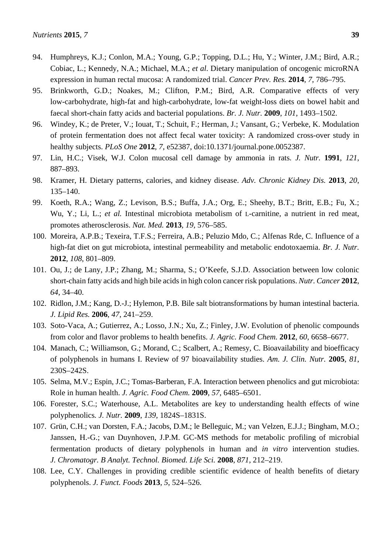- 95. Brinkworth, G.D.; Noakes, M.; Clifton, P.M.; Bird, A.R. Comparative effects of very low-carbohydrate, high-fat and high-carbohydrate, low-fat weight-loss diets on bowel habit and faecal short-chain fatty acids and bacterial populations. *Br. J. Nutr.* **2009**, *101*, 1493–1502.
- 96. Windey, K.; de Preter, V.; Iouat, T.; Schuit, F.; Herman, J.; Vansant, G.; Verbeke, K. Modulation of protein fermentation does not affect fecal water toxicity: A randomized cross-over study in healthy subjects. *PLoS One* **2012**, *7*, e52387, doi:10.1371/journal.pone.0052387.
- 97. Lin, H.C.; Visek, W.J. Colon mucosal cell damage by ammonia in rats. *J. Nutr.* **1991**, *121*, 887–893.
- 98. Kramer, H. Dietary patterns, calories, and kidney disease. *Adv. Chronic Kidney Dis.* **2013**, *20*, 135–140.
- 99. Koeth, R.A.; Wang, Z.; Levison, B.S.; Buffa, J.A.; Org, E.; Sheehy, B.T.; Britt, E.B.; Fu, X.; Wu, Y.; Li, L.; *et al.* Intestinal microbiota metabolism of L-carnitine, a nutrient in red meat, promotes atherosclerosis. *Nat. Med.* **2013**, *19*, 576–585.
- 100. Moreira, A.P.B.; Texeira, T.F.S.; Ferreira, A.B.; Peluzio Mdo, C.; Alfenas Rde, C. Influence of a high-fat diet on gut microbiota, intestinal permeability and metabolic endotoxaemia. *Br. J. Nutr.* **2012**, *108*, 801–809.
- 101. Ou, J.; de Lany, J.P.; Zhang, M.; Sharma, S.; O'Keefe, S.J.D. Association between low colonic short-chain fatty acids and high bile acids in high colon cancer risk populations. *Nutr. Cancer* **2012**, *64*, 34–40.
- 102. Ridlon, J.M.; Kang, D.-J.; Hylemon, P.B. Bile salt biotransformations by human intestinal bacteria. *J. Lipid Res.* **2006**, *47*, 241–259.
- 103. Soto-Vaca, A.; Gutierrez, A.; Losso, J.N.; Xu, Z.; Finley, J.W. Evolution of phenolic compounds from color and flavor problems to health benefits. *J. Agric. Food Chem.* **2012**, *60*, 6658–6677.
- 104. Manach, C.; Williamson, G.; Morand, C.; Scalbert, A.; Remesy, C. Bioavailability and bioefficacy of polyphenols in humans I. Review of 97 bioavailability studies. *Am. J. Clin. Nutr.* **2005**, *81*, 230S–242S.
- 105. Selma, M.V.; Espin, J.C.; Tomas-Barberan, F.A. Interaction between phenolics and gut microbiota: Role in human health. *J. Agric. Food Chem.* **2009**, *57*, 6485–6501.
- 106. Forester, S.C.; Waterhouse, A.L. Metabolites are key to understanding health effects of wine polyphenolics*. J. Nutr.* **2009**, *139*, 1824S–1831S.
- 107. [Grün,](http://www.ncbi.nlm.nih.gov/pubmed?term=Gr%C3%BCn%20CH%5BAuthor%5D&cauthor=true&cauthor_uid=18502705) C.H.; van Dorsten, F.A.; Jacobs, D.M.; le Belleguic, M.; van Velzen, E.J.J.; Bingham, M.O.; Janssen, H.-G.; van Duynhoven, J.P.M. GC-MS methods for metabolic profiling of microbial fermentation products of dietary polyphenols in human and *in vitro* intervention studies. *J. Chromatogr. B Analyt. Technol. Biomed. Life Sci.* **2008**, *871*, 212–219.
- 108. Lee, C.Y. Challenges in providing credible scientific evidence of health benefits of dietary polyphenols. *J. Funct. Foods* **2013**, *5*, 524–526.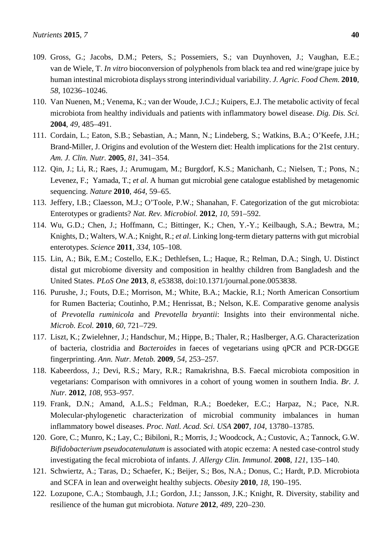- 109. Gross, G.; Jacobs, D.M.; Peters, S.; Possemiers, S.; van Duynhoven, J.; Vaughan, E.E.; van de Wiele, T. *In vitro* bioconversion of polyphenols from black tea and red wine/grape juice by human intestinal microbiota displays strong interindividual variability. *J. Agric. Food Chem.* **2010**, *58*, 10236–10246.
- 110. Van Nuenen, M.; Venema, K.; van der Woude, J.C.J.; Kuipers, E.J. The metabolic activity of fecal microbiota from healthy individuals and patients with inflammatory bowel disease. *Dig. Dis. Sci.* **2004**, *49*, 485–491.
- 111. Cordain, L.; Eaton, S.B.; Sebastian, A.; Mann, N.; Lindeberg, S.; Watkins, B.A.; O'Keefe, J.H.; Brand-Miller, J. Origins and evolution of the Western diet: Health implications for the 21st century. *Am. J. Clin. Nutr.* **2005**, *81*, 341–354.
- 112. Qin, J.; Li, R.; Raes, J.; Arumugam, M.; Burgdorf, K.S.; Manichanh, C.; Nielsen, T.; Pons, N.; Levenez, F.; Yamada, T.; *et al*. A human gut microbial gene catalogue established by metagenomic sequencing. *Nature* **2010**, *464*, 59–65.
- 113. Jeffery, I.B.; Claesson, M.J.; O'Toole, P.W.; Shanahan, F. Categorization of the gut microbiota: Enterotypes or gradients? *Nat. Rev. Microbiol.* **2012**, *10*, 591–592.
- 114. Wu, G.D.; Chen, J.; Hoffmann, C.; Bittinger, K.; Chen, Y.-Y.; Keilbaugh, S.A.; Bewtra, M.; Knights, D.; Walters, W.A.; Knight, R.; *et al*. Linking long-term dietary patterns with gut microbial enterotypes. *Science* **2011**, *334*, 105–108.
- 115. Lin, A.; Bik, E.M.; Costello, E.K.; Dethlefsen, L.; Haque, R.; Relman, D.A.; Singh, U. Distinct distal gut microbiome diversity and composition in healthy children from Bangladesh and the United States. *PLoS One* **2013**, *8*, e53838, doi:10.1371/journal.pone.0053838.
- 116. Purushe, J.; Fouts, D.E.; Morrison, M.; White, B.A.; Mackie, R.I.; North American Consortium for Rumen Bacteria; Coutinho, P.M.; Henrissat, B.; Nelson, K.E. Comparative genome analysis of *Prevotella ruminicola* and *Prevotella bryantii*: Insights into their environmental niche. *Microb. Ecol.* **2010**, *60*, 721–729.
- 117. Liszt, K.; Zwielehner, J.; Handschur, M.; Hippe, B.; Thaler, R.; Haslberger, A.G. Characterization of bacteria, clostridia and *Bacteroides* in faeces of vegetarians using qPCR and PCR-DGGE fingerprinting. *Ann. Nutr. Metab.* **2009**, *54*, 253–257.
- 118. Kabeerdoss, J.; Devi, R.S.; Mary, R.R.; Ramakrishna, B.S. Faecal microbiota composition in vegetarians: Comparison with omnivores in a cohort of young women in southern India. *Br. J. Nutr.* **2012**, *108*, 953–957.
- 119. Frank, D.N.; Amand, A.L.S.; Feldman, R.A.; Boedeker, E.C.; Harpaz, N.; Pace, N.R. Molecular-phylogenetic characterization of microbial community imbalances in human inflammatory bowel diseases. *Proc. Natl. Acad. Sci. USA* **2007**, *104*, 13780–13785.
- 120. Gore, C.; Munro, K.; Lay, C.; Bibiloni, R.; Morris, J.; Woodcock, A.; Custovic, A.; Tannock, G.W. *Bifidobacterium pseudocatenulatum* is associated with atopic eczema: A nested case-control study investigating the fecal microbiota of infants. *J. Allergy Clin. Immunol.* **2008**, *121*, 135–140.
- 121. Schwiertz, A.; Taras, D.; Schaefer, K.; Beijer, S.; Bos, N.A.; Donus, C.; Hardt, P.D. Microbiota and SCFA in lean and overweight healthy subjects. *Obesity* **2010**, *18*, 190–195.
- 122. Lozupone, C.A.; Stombaugh, J.I.; Gordon, J.I.; Jansson, J.K.; Knight, R. Diversity, stability and resilience of the human gut microbiota. *Nature* **2012**, *489*, 220–230.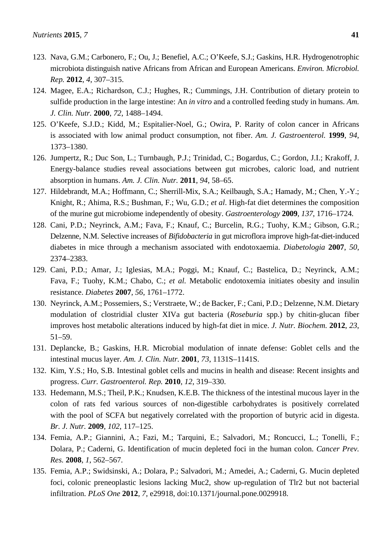- 123. Nava, G.M.; Carbonero, F.; Ou, J.; Benefiel, A.C.; O'Keefe, S.J.; Gaskins, H.R. Hydrogenotrophic microbiota distinguish native Africans from African and European Americans. *Environ. Microbiol. Rep.* **2012**, *4*, 307–315.
- 124. Magee, E.A.; Richardson, C.J.; Hughes, R.; Cummings, J.H. Contribution of dietary protein to sulfide production in the large intestine: An *in vitro* and a controlled feeding study in humans. *Am. J. Clin. Nutr.* **2000**, *72*, 1488–1494.
- 125. O'Keefe, S.J.D.; Kidd, M.; Espitalier-Noel, G.; Owira, P. Rarity of colon cancer in Africans is associated with low animal product consumption, not fiber. *Am. J. Gastroenterol.* **1999**, *94*, 1373–1380.
- 126. Jumpertz, R.; Duc Son, L.; Turnbaugh, P.J.; Trinidad, C.; Bogardus, C.; Gordon, J.I.; Krakoff, J. Energy-balance studies reveal associations between gut microbes, caloric load, and nutrient absorption in humans. *Am. J. Clin. Nutr.* **2011**, *94*, 58–65.
- 127. Hildebrandt, M.A.; Hoffmann, C.; Sherrill-Mix, S.A.; Keilbaugh, S.A.; Hamady, M.; Chen, Y.-Y.; Knight, R.; Ahima, R.S.; Bushman, F.; Wu, G.D.; *et al*. High-fat diet determines the composition of the murine gut microbiome independently of obesity. *Gastroenterology* **2009**, *137*, 1716–1724.
- 128. Cani, P.D.; Neyrinck, A.M.; Fava, F.; Knauf, C.; Burcelin, R.G.; Tuohy, K.M.; Gibson, G.R.; Delzenne, N.M. Selective increases of *Bifidobacteria* in gut microflora improve high-fat-diet-induced diabetes in mice through a mechanism associated with endotoxaemia. *Diabetologia* **2007**, *50*, 2374–2383.
- 129. Cani, P.D.; Amar, J.; Iglesias, M.A.; Poggi, M.; Knauf, C.; Bastelica, D.; Neyrinck, A.M.; Fava, F.; Tuohy, K.M.; Chabo, C.; *et al.* Metabolic endotoxemia initiates obesity and insulin resistance. *Diabetes* **2007**, *56*, 1761–1772.
- 130. Neyrinck, A.M.; Possemiers, S.; Verstraete, W.; de Backer, F.; Cani, P.D.; Delzenne, N.M. Dietary modulation of clostridial cluster XIVa gut bacteria (*Roseburia* spp.) by chitin-glucan fiber improves host metabolic alterations induced by high-fat diet in mice. *J. Nutr. Biochem.* **2012**, *23*, 51–59.
- 131. Deplancke, B.; Gaskins, H.R. Microbial modulation of innate defense: Goblet cells and the intestinal mucus layer. *Am. J. Clin. Nutr.* **2001**, *73*, 1131S–1141S.
- 132. Kim, Y.S.; Ho, S.B. Intestinal goblet cells and mucins in health and disease: Recent insights and progress. *Curr. Gastroenterol. Rep.* **2010**, *12*, 319–330.
- 133. Hedemann, M.S.; Theil, P.K.; Knudsen, K.E.B. The thickness of the intestinal mucous layer in the colon of rats fed various sources of non-digestible carbohydrates is positively correlated with the pool of SCFA but negatively correlated with the proportion of butyric acid in digesta. *Br. J. Nutr.* **2009**, *102*, 117–125.
- 134. Femia, A.P.; Giannini, A.; Fazi, M.; Tarquini, E.; Salvadori, M.; Roncucci, L.; Tonelli, F.; Dolara, P.; Caderni, G. Identification of mucin depleted foci in the human colon. *Cancer Prev. Res.* **2008**, *1*, 562–567.
- 135. Femia, A.P.; Swidsinski, A.; Dolara, P.; Salvadori, M.; Amedei, A.; Caderni, G. Mucin depleted foci, colonic preneoplastic lesions lacking Muc2, show up-regulation of Tlr2 but not bacterial infiltration. *PLoS One* **2012**, *7*, e29918, doi:10.1371/journal.pone.0029918.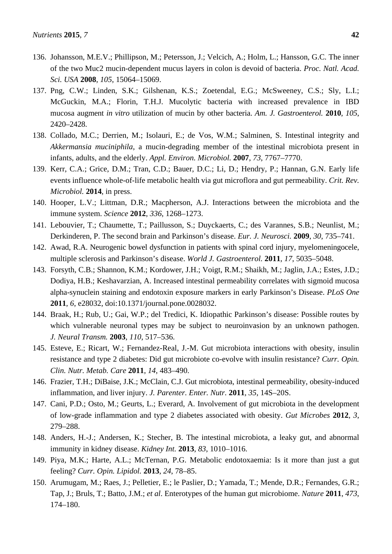- 136. Johansson, M.E.V.; Phillipson, M.; Petersson, J.; Velcich, A.; Holm, L.; Hansson, G.C. The inner of the two Muc2 mucin-dependent mucus layers in colon is devoid of bacteria. *Proc. Natl. Acad. Sci. USA* **2008**, *105*, 15064–15069.
- 137. Png, C.W.; Linden, S.K.; Gilshenan, K.S.; Zoetendal, E.G.; McSweeney, C.S.; Sly, L.I.; McGuckin, M.A.; Florin, T.H.J. Mucolytic bacteria with increased prevalence in IBD mucosa augment *in vitro* utilization of mucin by other bacteria. *Am. J. Gastroenterol.* **2010**, *105*, 2420–2428.
- 138. Collado, M.C.; Derrien, M.; Isolauri, E.; de Vos, W.M.; Salminen, S. Intestinal integrity and *Akkermansia muciniphila*, a mucin-degrading member of the intestinal microbiota present in infants, adults, and the elderly. *Appl. Environ. Microbiol.* **2007**, *73*, 7767–7770.
- 139. Kerr, C.A.; Grice, D.M.; Tran, C.D.; Bauer, D.C.; Li, D.; Hendry, P.; Hannan, G.N. Early life events influence whole-of-life metabolic health via gut microflora and gut permeability. *Crit. Rev. Microbiol.* **2014**, in press.
- 140. Hooper, L.V.; Littman, D.R.; Macpherson, A.J. Interactions between the microbiota and the immune system. *Science* **2012**, *336*, 1268–1273.
- 141. Lebouvier, T.; Chaumette, T.; Paillusson, S.; Duyckaerts, C.; des Varannes, S.B.; Neunlist, M.; Derkinderen, P. The second brain and Parkinson's disease. *Eur. J. Neurosci.* **2009**, *30*, 735–741.
- 142. Awad, R.A. Neurogenic bowel dysfunction in patients with spinal cord injury, myelomeningocele, multiple sclerosis and Parkinson's disease. *World J. Gastroenterol.* **2011**, *17*, 5035–5048.
- 143. Forsyth, C.B.; Shannon, K.M.; Kordower, J.H.; Voigt, R.M.; Shaikh, M.; Jaglin, J.A.; Estes, J.D.; Dodiya, H.B.; Keshavarzian, A. Increased intestinal permeability correlates with sigmoid mucosa alpha-synuclein staining and endotoxin exposure markers in early Parkinson's Disease. *PLoS One* **2011**, *6*, e28032, doi:10.1371/journal.pone.0028032.
- 144. Braak, H.; Rub, U.; Gai, W.P.; del Tredici, K. Idiopathic Parkinson's disease: Possible routes by which vulnerable neuronal types may be subject to neuroinvasion by an unknown pathogen. *J. Neural Transm.* **2003**, *110*, 517–536.
- 145. Esteve, E.; Ricart, W.; Fernandez-Real, J.-M. Gut microbiota interactions with obesity, insulin resistance and type 2 diabetes: Did gut microbiote co-evolve with insulin resistance? *Curr. Opin. Clin. Nutr. Metab. Care* **2011**, *14*, 483–490.
- 146. Frazier, T.H.; DiBaise, J.K.; McClain, C.J. Gut microbiota, intestinal permeability, obesity-induced inflammation, and liver injury. *J. Parenter. Enter. Nutr.* **2011**, *35*, 14S–20S.
- 147. Cani, P.D.; Osto, M.; Geurts, L.; Everard, A. Involvement of gut microbiota in the development of low-grade inflammation and type 2 diabetes associated with obesity. *Gut Microbes* **2012**, *3*, 279–288.
- 148. Anders, H.-J.; Andersen, K.; Stecher, B. The intestinal microbiota, a leaky gut, and abnormal immunity in kidney disease. *Kidney Int.* **2013**, *83*, 1010–1016.
- 149. Piya, M.K.; Harte, A.L.; McTernan, P.G. Metabolic endotoxaemia: Is it more than just a gut feeling? *Curr. Opin. Lipidol.* **2013**, *24*, 78–85.
- 150. Arumugam, M.; Raes, J.; Pelletier, E.; le Paslier, D.; Yamada, T.; Mende, D.R.; Fernandes, G.R.; Tap, J.; Bruls, T.; Batto, J.M.; *et al*. Enterotypes of the human gut microbiome. *Nature* **2011**, *473*, 174–180.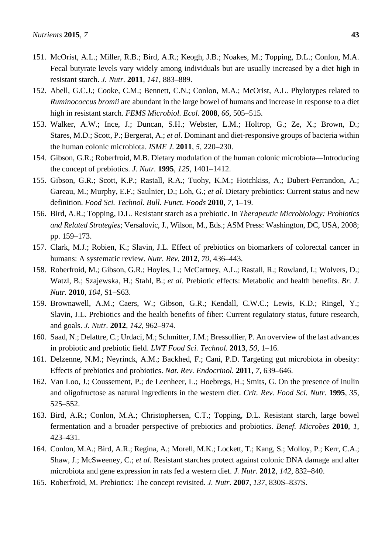- 151. McOrist, A.L.; Miller, R.B.; Bird, A.R.; Keogh, J.B.; Noakes, M.; Topping, D.L.; Conlon, M.A. Fecal butyrate levels vary widely among individuals but are usually increased by a diet high in resistant starch. *J. Nutr.* **2011**, *141*, 883–889.
- 152. Abell, G.C.J.; Cooke, C.M.; Bennett, C.N.; Conlon, M.A.; McOrist, A.L. Phylotypes related to *Ruminococcus bromii* are abundant in the large bowel of humans and increase in response to a diet high in resistant starch. *FEMS Microbiol. Ecol.* **2008**, *66*, 505–515.
- 153. Walker, A.W.; Ince, J.; Duncan, S.H.; Webster, L.M.; Holtrop, G.; Ze, X.; Brown, D.; Stares, M.D.; Scott, P.; Bergerat, A.; *et al*. Dominant and diet-responsive groups of bacteria within the human colonic microbiota. *ISME J.* **2011**, *5*, 220–230.
- 154. Gibson, G.R.; Roberfroid, M.B. Dietary modulation of the human colonic microbiota—Introducing the concept of prebiotics. *J. Nutr.* **1995**, *125*, 1401–1412.
- 155. Gibson, G.R.; Scott, K.P.; Rastall, R.A.; Tuohy, K.M.; Hotchkiss, A.; Dubert-Ferrandon, A.; Gareau, M.; Murphy, E.F.; Saulnier, D.; Loh, G.; *et al*. Dietary prebiotics: Current status and new definition. *Food Sci. Technol. Bull. Funct. Foods* **2010**, *7*, 1–19.
- 156. Bird, A.R.; Topping, D.L. Resistant starch as a prebiotic. In *Therapeutic Microbiology: Probiotics and Related Strategies*; Versalovic, J., Wilson, M., Eds.; ASM Press: Washington, DC, USA, 2008; pp. 159–173.
- 157. Clark, M.J.; Robien, K.; Slavin, J.L. Effect of prebiotics on biomarkers of colorectal cancer in humans: A systematic review. *Nutr. Rev.* **2012**, *70*, 436–443.
- 158. Roberfroid, M.; Gibson, G.R.; Hoyles, L.; McCartney, A.L.; Rastall, R.; Rowland, I.; Wolvers, D.; Watzl, B.; Szajewska, H.; Stahl, B.; *et al*. Prebiotic effects: Metabolic and health benefits. *Br. J. Nutr.* **2010**, *104*, S1–S63.
- 159. Brownawell, A.M.; Caers, W.; Gibson, G.R.; Kendall, C.W.C.; Lewis, K.D.; Ringel, Y.; Slavin, J.L. Prebiotics and the health benefits of fiber: Current regulatory status, future research, and goals. *J. Nutr.* **2012**, *142*, 962–974.
- 160. Saad, N.; Delattre, C.; Urdaci, M.; Schmitter, J.M.; Bressollier, P. An overview of the last advances in probiotic and prebiotic field. *LWT Food Sci. Technol.* **2013**, *50*, 1–16.
- 161. Delzenne, N.M.; Neyrinck, A.M.; Backhed, F.; Cani, P.D. Targeting gut microbiota in obesity: Effects of prebiotics and probiotics. *Nat. Rev. Endocrinol.* **2011**, *7*, 639–646.
- 162. Van Loo, J.; Coussement, P.; de Leenheer, L.; Hoebregs, H.; Smits, G. On the presence of inulin and oligofructose as natural ingredients in the western diet. *Crit. Rev. Food Sci. Nutr.* **1995**, *35*, 525–552.
- 163. Bird, A.R.; Conlon, M.A.; Christophersen, C.T.; Topping, D.L. Resistant starch, large bowel fermentation and a broader perspective of prebiotics and probiotics. *Benef. Microbes* **2010**, *1*, 423–431.
- 164. Conlon, M.A.; Bird, A.R.; Regina, A.; Morell, M.K.; Lockett, T.; Kang, S.; Molloy, P.; Kerr, C.A.; Shaw, J.; McSweeney, C.; *et al*. Resistant starches protect against colonic DNA damage and alter microbiota and gene expression in rats fed a western diet. *J. Nutr.* **2012**, *142*, 832–840.
- 165. Roberfroid, M. Prebiotics: The concept revisited. *J. Nutr.* **2007**, *137*, 830S–837S.